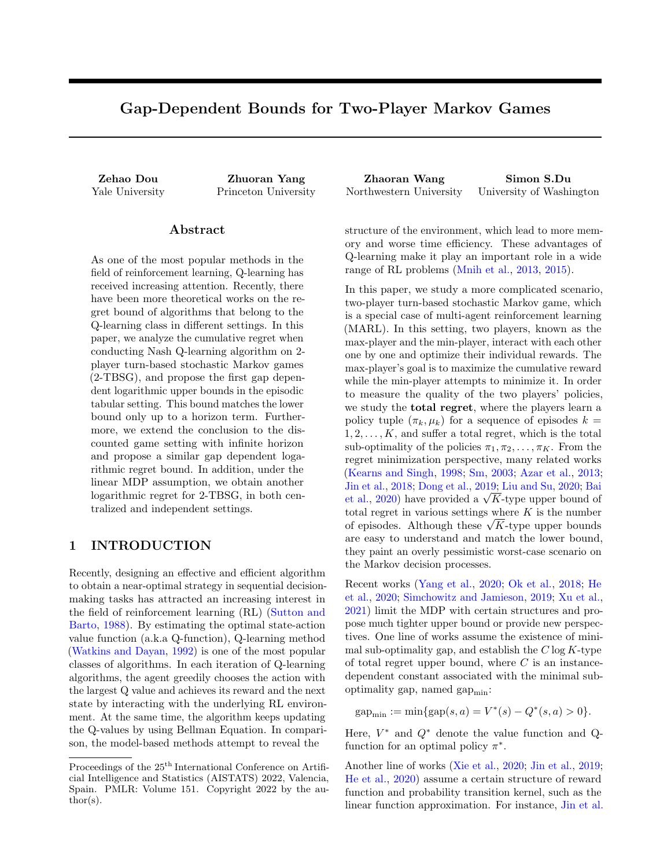# Gap-Dependent Bounds for Two-Player Markov Games

### Abstract

As one of the most popular methods in the field of reinforcement learning, Q-learning has received increasing attention. Recently, there have been more theoretical works on the regret bound of algorithms that belong to the Q-learning class in different settings. In this paper, we analyze the cumulative regret when conducting Nash Q-learning algorithm on 2 player turn-based stochastic Markov games (2-TBSG), and propose the first gap dependent logarithmic upper bounds in the episodic tabular setting. This bound matches the lower bound only up to a horizon term. Furthermore, we extend the conclusion to the discounted game setting with infinite horizon and propose a similar gap dependent logarithmic regret bound. In addition, under the linear MDP assumption, we obtain another logarithmic regret for 2-TBSG, in both centralized and independent settings.

## 1 INTRODUCTION

Recently, designing an effective and efficient algorithm to obtain a near-optimal strategy in sequential decisionmaking tasks has attracted an increasing interest in the field of reinforcement learning (RL) [\(Sutton and](#page-10-0) [Barto,](#page-10-0) [1988\)](#page-10-0). By estimating the optimal state-action value function (a.k.a Q-function), Q-learning method [\(Watkins and Dayan,](#page-10-1) [1992\)](#page-10-1) is one of the most popular classes of algorithms. In each iteration of Q-learning algorithms, the agent greedily chooses the action with the largest Q value and achieves its reward and the next state by interacting with the underlying RL environment. At the same time, the algorithm keeps updating the Q-values by using Bellman Equation. In comparison, the model-based methods attempt to reveal the

Zehao Dou Zhuoran Yang Zhaoran Wang Simon S.Du Yale University Princeton University Northwestern University University of Washington

> structure of the environment, which lead to more memory and worse time efficiency. These advantages of Q-learning make it play an important role in a wide range of RL problems [\(Mnih et al.,](#page-9-0) [2013,](#page-9-0) [2015\)](#page-9-1).

> In this paper, we study a more complicated scenario, two-player turn-based stochastic Markov game, which is a special case of multi-agent reinforcement learning (MARL). In this setting, two players, known as the max-player and the min-player, interact with each other one by one and optimize their individual rewards. The max-player's goal is to maximize the cumulative reward while the min-player attempts to minimize it. In order to measure the quality of the two players' policies, we study the total regret, where the players learn a policy tuple  $(\pi_k, \mu_k)$  for a sequence of episodes  $k =$  $1, 2, \ldots, K$ , and suffer a total regret, which is the total sub-optimality of the policies  $\pi_1, \pi_2, \ldots, \pi_K$ . From the regret minimization perspective, many related works [\(Kearns and Singh,](#page-9-2) [1998;](#page-9-2) [Sm,](#page-9-3) [2003;](#page-9-3) [Azar et al.,](#page-8-0) [2013;](#page-8-0) [Jin et al.,](#page-9-4) [2018;](#page-9-4) [Dong et al.,](#page-8-1) [2019;](#page-8-1) [Liu and Su,](#page-9-5) [2020;](#page-9-5) [Bai](#page-8-2) Jin [et al.,](#page-8-2) 2018; Dong et al., 2019; Liu and Su, 2020; Bar<br>et al., [2020\)](#page-8-2) have provided a  $\sqrt{K}$ -type upper bound of total regret in various settings where  $K$  is the number total regret in various settings where  $K$  is the number<br>of episodes. Although these  $\sqrt{K}$ -type upper bounds are easy to understand and match the lower bound, they paint an overly pessimistic worst-case scenario on the Markov decision processes.

> Recent works [\(Yang et al.,](#page-10-2) [2020;](#page-10-2) [Ok et al.,](#page-9-6) [2018;](#page-9-6) [He](#page-9-7) [et al.,](#page-9-7) [2020;](#page-9-7) [Simchowitz and Jamieson,](#page-9-8) [2019;](#page-9-8) [Xu et al.,](#page-10-3) [2021\)](#page-10-3) limit the MDP with certain structures and propose much tighter upper bound or provide new perspectives. One line of works assume the existence of minimal sub-optimality gap, and establish the  $C \log K$ -type of total regret upper bound, where  $C$  is an instancedependent constant associated with the minimal suboptimality gap, named  $\text{gap}_{\text{min}}$ :

 $\text{gap}_{\text{min}} := \min\{\text{gap}(s, a) = V^*(s) - Q^*(s, a) > 0\}.$ 

Here,  $V^*$  and  $Q^*$  denote the value function and Qfunction for an optimal policy  $\pi^*$ .

Another line of works [\(Xie et al.,](#page-10-4) [2020;](#page-10-4) [Jin et al.,](#page-9-9) [2019;](#page-9-9) [He et al.,](#page-9-7) [2020\)](#page-9-7) assume a certain structure of reward function and probability transition kernel, such as the linear function approximation. For instance, [Jin et al.](#page-9-9)

Proceedings of the  $25^{\mathrm{th}}$  International Conference on Artificial Intelligence and Statistics (AISTATS) 2022, Valencia, Spain. PMLR: Volume 151. Copyright 2022 by the au- $\text{thor}(s)$ .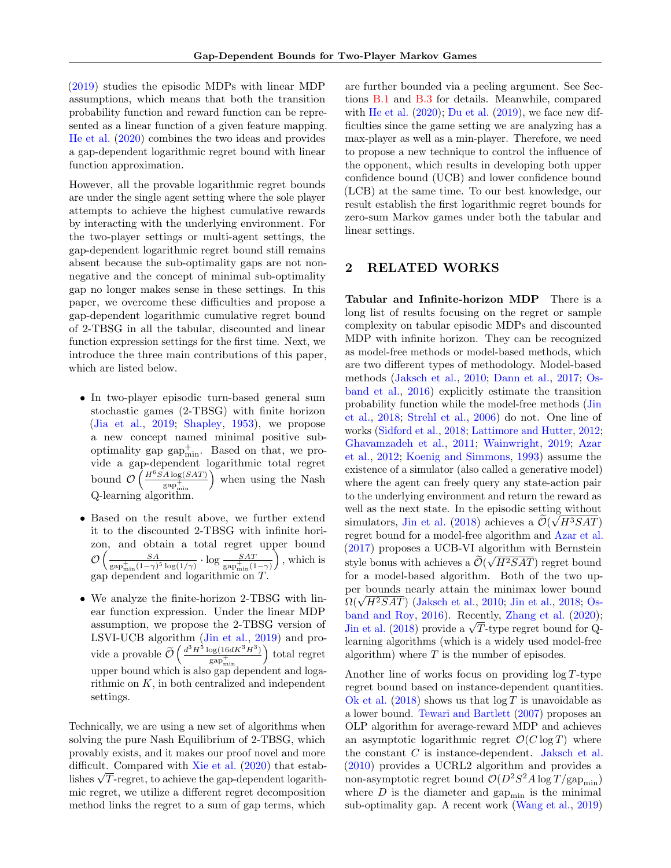[\(2019\)](#page-9-9) studies the episodic MDPs with linear MDP assumptions, which means that both the transition probability function and reward function can be represented as a linear function of a given feature mapping. [He et al.](#page-9-7) [\(2020\)](#page-9-7) combines the two ideas and provides a gap-dependent logarithmic regret bound with linear function approximation.

However, all the provable logarithmic regret bounds are under the single agent setting where the sole player attempts to achieve the highest cumulative rewards by interacting with the underlying environment. For the two-player settings or multi-agent settings, the gap-dependent logarithmic regret bound still remains absent because the sub-optimality gaps are not nonnegative and the concept of minimal sub-optimality gap no longer makes sense in these settings. In this paper, we overcome these difficulties and propose a gap-dependent logarithmic cumulative regret bound of 2-TBSG in all the tabular, discounted and linear function expression settings for the first time. Next, we introduce the three main contributions of this paper, which are listed below.

- In two-player episodic turn-based general sum stochastic games (2-TBSG) with finite horizon [\(Jia et al.,](#page-9-10) [2019;](#page-9-10) [Shapley,](#page-9-11) [1953\)](#page-9-11), we propose a new concept named minimal positive suboptimality gap  $\text{gap}_{\text{min}}^+$ . Based on that, we provide a gap-dependent logarithmic total regret bound  $\mathcal{O}\left(\frac{H^6SA\log(SAT)}{n\epsilon^+}\right)$  $_{\rm gap_{\rm min}^{+}}$  when using the Nash Q-learning algorithm.
- Based on the result above, we further extend it to the discounted 2-TBSG with infinite horizon, and obtain a total regret upper bound  $\mathcal{O}\left(\frac{SA}{\cos^2\left(1-\frac{1}{2}\right)}\right)$  $\frac{SA}{\text{gap}_{\text{min}}^+(1-\gamma)^5\log(1/\gamma)} \cdot \log \frac{SAT}{\text{gap}_{\text{min}}^+(1-\gamma)}$  $\setminus$ , which is gap dependent and logarithmic on T.
- We analyze the finite-horizon 2-TBSG with linear function expression. Under the linear MDP assumption, we propose the 2-TBSG version of LSVI-UCB algorithm [\(Jin et al.,](#page-9-9) [2019\)](#page-9-9) and provide a provable  $\widetilde{\mathcal{O}} \left( \frac{d^3 H^5 \log(16dK^3H^3)}{\text{gap}_{\text{min}}^+} \right)$  $_{\rm gap_{\rm min}^{+}}$  total regret upper bound which is also gap dependent and logarithmic on  $K$ , in both centralized and independent settings.

Technically, we are using a new set of algorithms when solving the pure Nash Equilibrium of 2-TBSG, which provably exists, and it makes our proof novel and more difficult. Compared with [Xie et al.](#page-10-4) [\(2020\)](#page-10-4) that estabdimetut. Compared with  $\overline{\text{Aie}}$  et al. (2020) that establishes  $\sqrt{T}$ -regret, to achieve the gap-dependent logarithmic regret, we utilize a different regret decomposition method links the regret to a sum of gap terms, which

are further bounded via a peeling argument. See Sections [B.1](#page-12-0) and [B.3](#page-13-0) for details. Meanwhile, compared with [He et al.](#page-9-7)  $(2020)$ ; [Du et al.](#page-8-3)  $(2019)$ , we face new difficulties since the game setting we are analyzing has a max-player as well as a min-player. Therefore, we need to propose a new technique to control the influence of the opponent, which results in developing both upper confidence bound (UCB) and lower confidence bound (LCB) at the same time. To our best knowledge, our result establish the first logarithmic regret bounds for zero-sum Markov games under both the tabular and linear settings.

## 2 RELATED WORKS

Tabular and Infinite-horizon MDP There is a long list of results focusing on the regret or sample complexity on tabular episodic MDPs and discounted MDP with infinite horizon. They can be recognized as model-free methods or model-based methods, which are two different types of methodology. Model-based methods [\(Jaksch et al.,](#page-9-12) [2010;](#page-9-12) [Dann et al.,](#page-8-4) [2017;](#page-8-4) [Os](#page-9-13)[band et al.,](#page-9-13) [2016\)](#page-9-13) explicitly estimate the transition probability function while the model-free methods [\(Jin](#page-9-4) [et al.,](#page-9-4) [2018;](#page-9-4) [Strehl et al.,](#page-10-5) [2006\)](#page-10-5) do not. One line of works [\(Sidford et al.,](#page-9-14) [2018;](#page-9-14) [Lattimore and Hutter,](#page-9-15) [2012;](#page-9-15) [Ghavamzadeh et al.,](#page-9-16) [2011;](#page-9-16) [Wainwright,](#page-10-6) [2019;](#page-10-6) [Azar](#page-8-5) [et al.,](#page-8-5) [2012;](#page-8-5) [Koenig and Simmons,](#page-9-17) [1993\)](#page-9-17) assume the existence of a simulator (also called a generative model) where the agent can freely query any state-action pair to the underlying environment and return the reward as well as the next state. In the episodic setting without simulators, [Jin et al.](#page-9-4) [\(2018\)](#page-9-4) achieves a  $\mathcal{O}(\sqrt{H^3SAT})$ regret bound for a model-free algorithm and [Azar et al.](#page-8-6) [\(2017\)](#page-8-6) proposes a UCB-VI algorithm with Bernstein style bonus with achieves a  $\mathcal{O}(\sqrt{H^2SAT})$  regret bound for a model-based algorithm. Both of the two upper bounds nearly attain the minimax lower bound per bounds nearly attain the minimax lower bound  $\Omega(\sqrt{H^2SAT})$  [\(Jaksch et al.,](#page-9-12) [2010;](#page-9-12) [Jin et al.,](#page-9-4) [2018;](#page-9-4) [Os](#page-9-18)[band and Roy,](#page-9-18) [2016\)](#page-9-18). Recently, [Zhang et al.](#page-10-7) [\(2020\)](#page-10-7); band and Koy, 2016). Recently, Zhang et al. (2020);<br>[Jin et al.](#page-9-4) [\(2018\)](#page-9-4) provide a  $\sqrt{T}$ -type regret bound for Qlearning algorithms (which is a widely used model-free algorithm) where  $T$  is the number of episodes.

Another line of works focus on providing  $log T$ -type regret bound based on instance-dependent quantities. [Ok et al.](#page-9-6) [\(2018\)](#page-9-6) shows us that  $\log T$  is unavoidable as a lower bound. [Tewari and Bartlett](#page-10-8) [\(2007\)](#page-10-8) proposes an OLP algorithm for average-reward MDP and achieves an asymptotic logarithmic regret  $\mathcal{O}(C \log T)$  where the constant  $C$  is instance-dependent. [Jaksch et al.](#page-9-12) [\(2010\)](#page-9-12) provides a UCRL2 algorithm and provides a non-asymptotic regret bound  $\mathcal{O}(D^2S^2A\log T/{\rm gap}_{\rm min})$ where  $D$  is the diameter and  $\text{gap}_{\text{min}}$  is the minimal sub-optimality gap. A recent work [\(Wang et al.,](#page-10-9) [2019\)](#page-10-9)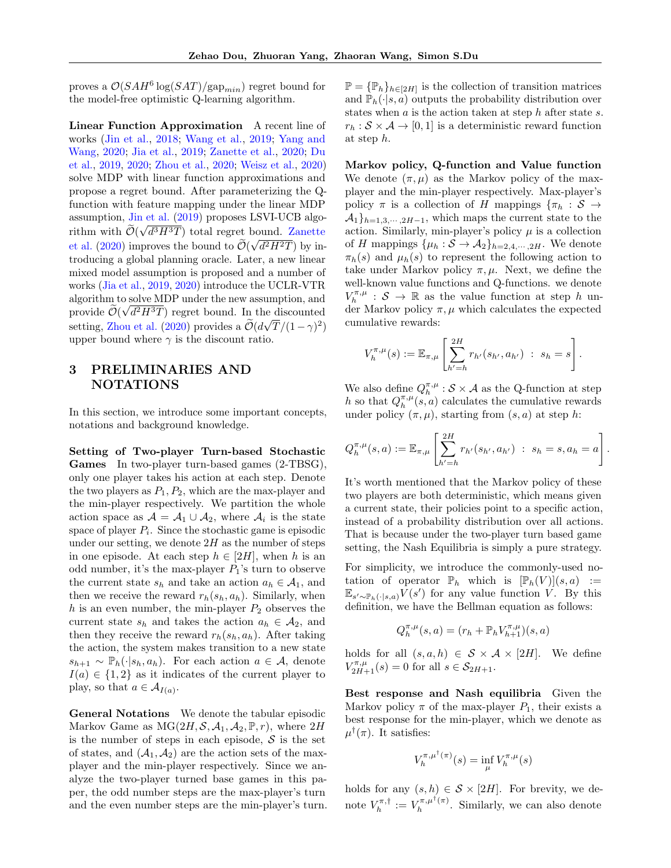proves a  $\mathcal{O}(SAH^6 \log(SAT)/\text{gap}_{min})$  regret bound for the model-free optimistic Q-learning algorithm.

Linear Function Approximation A recent line of works [\(Jin et al.,](#page-9-4) [2018;](#page-9-4) [Wang et al.,](#page-10-9) [2019;](#page-10-9) [Yang and](#page-10-10) [Wang,](#page-10-10) [2020;](#page-10-10) [Jia et al.,](#page-9-10) [2019;](#page-9-10) [Zanette et al.,](#page-10-11) [2020;](#page-10-11) [Du](#page-8-3) [et al.,](#page-8-3) [2019,](#page-8-3) [2020;](#page-8-7) [Zhou et al.,](#page-10-12) [2020;](#page-10-12) [Weisz et al.,](#page-10-13) [2020\)](#page-10-13) solve MDP with linear function approximations and propose a regret bound. After parameterizing the Qfunction with feature mapping under the linear MDP assumption,  $\overline{\mathbf{J}}$  in et al. [\(2019\)](#page-9-9) proposes LSVI-UCB algorithm with  $\mathcal{O}(\sqrt{d^3H^3T})$  total regret bound. [Zanette](#page-10-11) [et al.](#page-10-11)  $(2020)$  improves the bound to  $\mathcal{O}(\frac{1}{20})$ √  $d^2H^2T$  by introducing a global planning oracle. Later, a new linear mixed model assumption is proposed and a number of works [\(Jia et al.,](#page-9-10) [2019,](#page-9-10) [2020\)](#page-9-19) introduce the UCLR-VTR algorithm to solve MDP under the new assumption, and provide  $\mathcal{O}(\sqrt{d^2H^3T})$  regret bound. In the discounted setting, [Zhou et al.](#page-10-12) [\(2020\)](#page-10-12) provides a  $\tilde{\mathcal{O}}(d\sqrt{T}/(1-\gamma)^2)$ upper bound where  $\gamma$  is the discount ratio.

## 3 PRELIMINARIES AND NOTATIONS

In this section, we introduce some important concepts, notations and background knowledge.

Setting of Two-player Turn-based Stochastic Games In two-player turn-based games (2-TBSG), only one player takes his action at each step. Denote the two players as  $P_1, P_2$ , which are the max-player and the min-player respectively. We partition the whole action space as  $\mathcal{A} = \mathcal{A}_1 \cup \mathcal{A}_2$ , where  $\mathcal{A}_i$  is the state space of player  $P_i$ . Since the stochastic game is episodic under our setting, we denote  $2H$  as the number of steps in one episode. At each step  $h \in [2H]$ , when h is an odd number, it's the max-player  $P_1$ 's turn to observe the current state  $s_h$  and take an action  $a_h \in \mathcal{A}_1$ , and then we receive the reward  $r_h(s_h, a_h)$ . Similarly, when h is an even number, the min-player  $P_2$  observes the current state  $s_h$  and takes the action  $a_h \in \mathcal{A}_2$ , and then they receive the reward  $r_h(s_h, a_h)$ . After taking the action, the system makes transition to a new state  $s_{h+1} \sim \mathbb{P}_h(\cdot|s_h, a_h)$ . For each action  $a \in \mathcal{A}$ , denote  $I(a) \in \{1,2\}$  as it indicates of the current player to play, so that  $a \in \mathcal{A}_{I(a)}$ .

General Notations We denote the tabular episodic Markov Game as  $MG(2H, S, A_1, A_2, \mathbb{P}, r)$ , where  $2H$ is the number of steps in each episode,  $S$  is the set of states, and  $(\mathcal{A}_1, \mathcal{A}_2)$  are the action sets of the maxplayer and the min-player respectively. Since we analyze the two-player turned base games in this paper, the odd number steps are the max-player's turn and the even number steps are the min-player's turn.

 $\mathbb{P} = {\mathbb{P}_h}_{h \in [2H]}$  is the collection of transition matrices and  $\mathbb{P}_h(\cdot|s,a)$  outputs the probability distribution over states when  $a$  is the action taken at step  $h$  after state  $s$ .  $r_h : \mathcal{S} \times \mathcal{A} \rightarrow [0, 1]$  is a deterministic reward function at step h.

Markov policy, Q-function and Value function We denote  $(\pi, \mu)$  as the Markov policy of the maxplayer and the min-player respectively. Max-player's policy  $\pi$  is a collection of H mappings  $\{\pi_h : S \to$  $\mathcal{A}_1\}_{h=1,3,\dots,2H-1}$ , which maps the current state to the action. Similarly, min-player's policy  $\mu$  is a collection of H mappings  $\{\mu_h : \mathcal{S} \to \mathcal{A}_2\}_{h=2,4,\cdots,2H}$ . We denote  $\pi_h(s)$  and  $\mu_h(s)$  to represent the following action to take under Markov policy  $\pi, \mu$ . Next, we define the well-known value functions and Q-functions. we denote  $V_h^{\pi,\mu}$  :  $S \to \mathbb{R}$  as the value function at step h under Markov policy  $\pi, \mu$  which calculates the expected cumulative rewards:

$$
V_h^{\pi,\mu}(s) := \mathbb{E}_{\pi,\mu} \left[ \sum_{h'=h}^{2H} r_{h'}(s_{h'}, a_{h'}) \; : \; s_h = s \right].
$$

We also define  $Q_h^{\pi,\mu}: \mathcal{S} \times \mathcal{A}$  as the Q-function at step h so that  $Q_h^{\pi,\mu}(s, a)$  calculates the cumulative rewards under policy  $(\pi, \mu)$ , starting from  $(s, a)$  at step h:

$$
Q_h^{\pi,\mu}(s,a) := \mathbb{E}_{\pi,\mu} \left[ \sum_{h'=h}^{2H} r_{h'}(s_{h'}, a_{h'}) \; : \; s_h = s, a_h = a \right].
$$

It's worth mentioned that the Markov policy of these two players are both deterministic, which means given a current state, their policies point to a specific action, instead of a probability distribution over all actions. That is because under the two-player turn based game setting, the Nash Equilibria is simply a pure strategy.

For simplicity, we introduce the commonly-used notation of operator  $\mathbb{P}_h$  which is  $[\mathbb{P}_h(V)](s, a) :=$  $\mathbb{E}_{s' \sim \mathbb{P}_h(\cdot|s,a)} V(s')$  for any value function V. By this definition, we have the Bellman equation as follows:

$$
Q^{\pi,\mu}_h(s,a)=(r_h+\mathbb{P}_h V_{h+1}^{\pi,\mu})(s,a)
$$

holds for all  $(s, a, h) \in S \times A \times [2H]$ . We define  $V_{2H+1}^{\pi,\mu}(s) = 0$  for all  $s \in \mathcal{S}_{2H+1}$ .

Best response and Nash equilibria Given the Markov policy  $\pi$  of the max-player  $P_1$ , their exists a best response for the min-player, which we denote as  $\mu^{\dagger}(\pi)$ . It satisfies:

$$
V_h^{\pi,\mu^\dagger(\pi)}(s) = \inf_{\mu} V_h^{\pi,\mu}(s)
$$

holds for any  $(s, h) \in S \times [2H]$ . For brevity, we denote  $V_h^{\pi, \dagger} := V_h^{\pi, \mu^{\dagger}(\pi)}$  $\int_h^{\pi,\mu^+(\pi)}$ . Similarly, we can also denote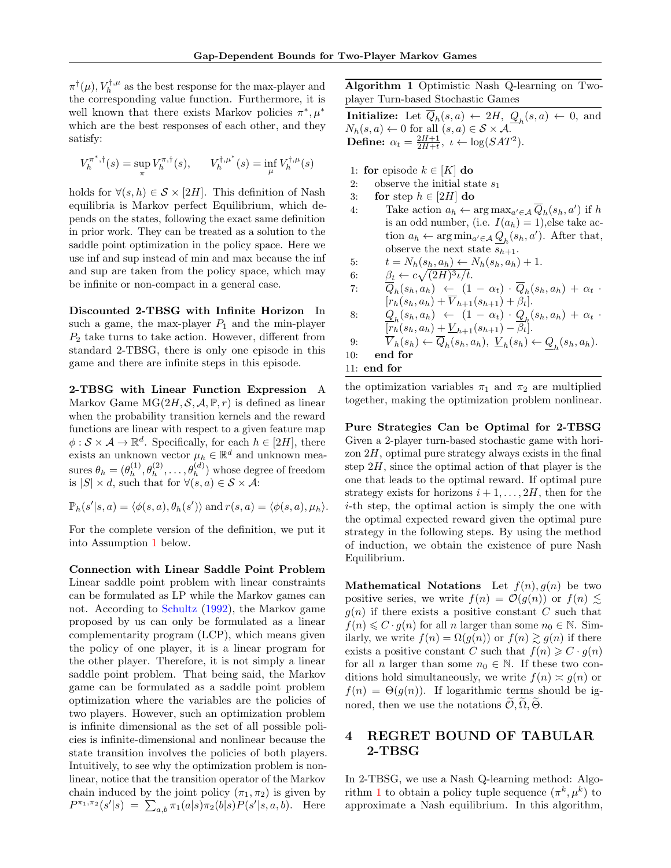$\pi^{\dagger}(\mu), V_h^{\dagger,\mu}$  as the best response for the max-player and the corresponding value function. Furthermore, it is well known that there exists Markov policies  $\pi^*, \mu^*$ which are the best responses of each other, and they satisfy:

$$
V_h^{\pi^*,\dagger}(s) = \sup_{\pi} V_h^{\pi,\dagger}(s), \qquad V_h^{\dagger,\mu^*}(s) = \inf_{\mu} V_h^{\dagger,\mu}(s)
$$

holds for  $\forall (s, h) \in S \times [2H]$ . This definition of Nash equilibria is Markov perfect Equilibrium, which depends on the states, following the exact same definition in prior work. They can be treated as a solution to the saddle point optimization in the policy space. Here we use inf and sup instead of min and max because the inf and sup are taken from the policy space, which may be infinite or non-compact in a general case.

Discounted 2-TBSG with Infinite Horizon In such a game, the max-player  $P_1$  and the min-player  $P_2$  take turns to take action. However, different from standard 2-TBSG, there is only one episode in this game and there are infinite steps in this episode.

2-TBSG with Linear Function Expression A Markov Game  $MG(2H, \mathcal{S}, \mathcal{A}, \mathbb{P}, r)$  is defined as linear when the probability transition kernels and the reward functions are linear with respect to a given feature map  $\phi : \mathcal{S} \times \mathcal{A} \to \mathbb{R}^d$ . Specifically, for each  $h \in [2H]$ , there exists an unknown vector  $\mu_h \in \mathbb{R}^d$  and unknown measures  $\theta_h = (\theta_h^{(1)})$  $\theta_h^{(1)}, \theta_h^{(2)}, \ldots, \theta_h^{(d)}$  whose degree of freedom is  $|S| \times d$ , such that for  $\forall (s, a) \in S \times A$ :

$$
\mathbb{P}_h(s'|s, a) = \langle \phi(s, a), \theta_h(s') \rangle \text{ and } r(s, a) = \langle \phi(s, a), \mu_h \rangle.
$$

For the complete version of the definition, we put it into Assumption [1](#page-7-0) below.

Connection with Linear Saddle Point Problem Linear saddle point problem with linear constraints can be formulated as LP while the Markov games can not. According to [Schultz](#page-9-20) [\(1992\)](#page-9-20), the Markov game proposed by us can only be formulated as a linear complementarity program (LCP), which means given the policy of one player, it is a linear program for the other player. Therefore, it is not simply a linear saddle point problem. That being said, the Markov game can be formulated as a saddle point problem optimization where the variables are the policies of two players. However, such an optimization problem is infinite dimensional as the set of all possible policies is infinite-dimensional and nonlinear because the state transition involves the policies of both players. Intuitively, to see why the optimization problem is nonlinear, notice that the transition operator of the Markov chain induced by the joint policy  $(\pi_1, \pi_2)$  is given by  $P^{\pi_1, \pi_2}(s'|s) = \sum_{a,b} \pi_1(a|s)\pi_2(b|s)P(s'|s, a, b).$  Here

<span id="page-3-0"></span>Algorithm 1 Optimistic Nash Q-learning on Twoplayer Turn-based Stochastic Games

**Initialize:** Let  $\overline{Q}_h(s, a) \leftarrow 2H$ ,  $\underline{Q}_h(s, a) \leftarrow 0$ , and  $N_h(s, a) \leftarrow 0$  for all  $(s, a) \in S \times A$ . **Define:**  $\alpha_t = \frac{2H+1}{2H+t}, \ \iota \leftarrow \log(SAT^2)$ .

- 1: for episode  $k \in [K]$  do
- 2: observe the initial state  $s_1$
- 3: for step  $h \in [2H]$  do
- 4: Take action  $a_h \leftarrow \arg \max_{a' \in \mathcal{A}} \overline{Q}_h(s_h, a')$  if h is an odd number, (i.e.  $I(a_h) = 1$ ), else take action  $a_h \leftarrow \arg \min_{a' \in \mathcal{A}} Q_h(s_h, a')$ . After that, observe the next state  $s_{h+1}$ .

5: 
$$
t = N_h(s_h, a_h) \leftarrow N_h(s_h, a_h) + 1.
$$

6:  $\beta_t \leftarrow c \sqrt{(2H)^3 \iota / t}.$ 

7: 
$$
\overline{Q}_h(s_h, a_h) \leftarrow (1 - \alpha_t) \cdot \overline{Q}_h(s_h, a_h) + \alpha_t \cdot \overline{r}_h(s_h, a_h) + \overline{v}_{h+1}(s_{h+1}) + \beta_t].
$$

8: 
$$
\frac{Q_h(s_h, a_h) \leftarrow (1 - \alpha_t) \cdot Q_h(s_h, a_h) + \alpha_t \cdot R_h(s_h, a_h) + \alpha_t \cdot R_h(s_h, a_h) + \underline{V}_{h+1}(s_{h+1}) - \beta_t}.
$$

9:  $V_h(s_h) \leftarrow \overline{Q}_h(s_h, a_h), \underline{V}_h(s_h) \leftarrow \underline{Q}_h(s_h, a_h).$ 10: end for

11: end for

the optimization variables  $\pi_1$  and  $\pi_2$  are multiplied together, making the optimization problem nonlinear.

Pure Strategies Can be Optimal for 2-TBSG Given a 2-player turn-based stochastic game with horizon  $2H$ , optimal pure strategy always exists in the final step  $2H$ , since the optimal action of that player is the one that leads to the optimal reward. If optimal pure strategy exists for horizons  $i + 1, \ldots, 2H$ , then for the i-th step, the optimal action is simply the one with the optimal expected reward given the optimal pure strategy in the following steps. By using the method of induction, we obtain the existence of pure Nash Equilibrium.

**Mathematical Notations** Let  $f(n), q(n)$  be two positive series, we write  $f(n) = \mathcal{O}(g(n))$  or  $f(n) \lesssim$  $g(n)$  if there exists a positive constant C such that  $f(n) \leq C \cdot g(n)$  for all n larger than some  $n_0 \in \mathbb{N}$ . Similarly, we write  $f(n) = \Omega(g(n))$  or  $f(n) \ge g(n)$  if there exists a positive constant C such that  $f(n) \geqslant C \cdot g(n)$ for all *n* larger than some  $n_0 \in \mathbb{N}$ . If these two conditions hold simultaneously, we write  $f(n) \approx g(n)$  or  $f(n) = \Theta(g(n))$ . If logarithmic terms should be ignored, then we use the notations  $\widetilde{\mathcal{O}}, \widetilde{\Omega}, \widetilde{\Theta}$ .

## 4 REGRET BOUND OF TABULAR 2-TBSG

In 2-TBSG, we use a Nash Q-learning method: Algo-rithm [1](#page-3-0) to obtain a policy tuple sequence  $(\pi^k, \mu^k)$  to approximate a Nash equilibrium. In this algorithm,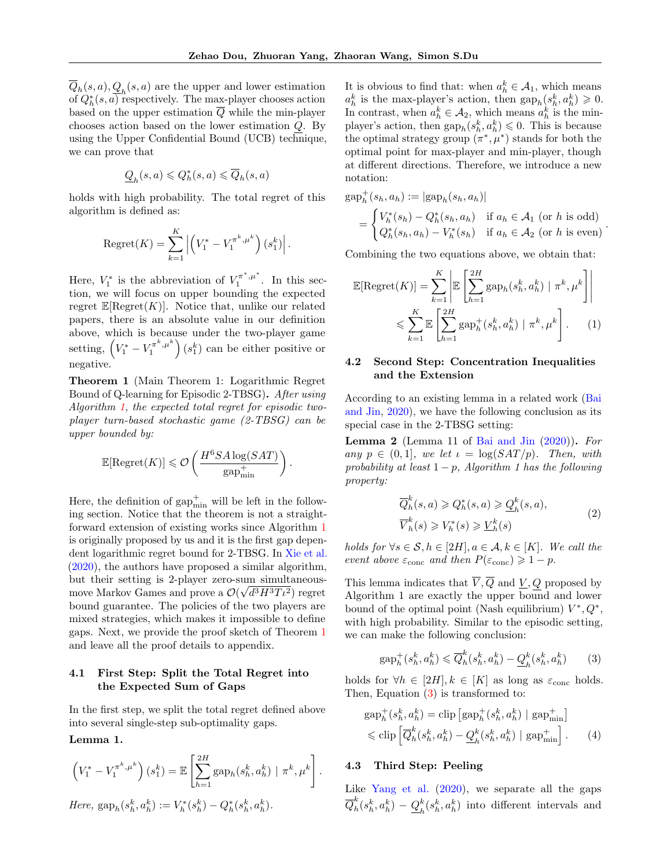$\overline{Q}_h(s,a), \underline{Q}_h(s,a)$  are the upper and lower estimation of  $Q_h^*(s, a)$  respectively. The max-player chooses action based on the upper estimation Q while the min-player chooses action based on the lower estimation Q. By using the Upper Confidential Bound (UCB) technique, we can prove that

$$
\underline{Q}_h(s,a) \leqslant Q^*_h(s,a) \leqslant \overline{Q}_h(s,a)
$$

holds with high probability. The total regret of this algorithm is defined as:

Regret(K) = 
$$
\sum_{k=1}^{K} \left| \left( V_1^* - V_1^{\pi^k, \mu^k} \right) (s_1^k) \right|
$$
.

Here,  $V_1^*$  is the abbreviation of  $V_1^{\pi^*,\mu^*}$ . In this section, we will focus on upper bounding the expected regret  $\mathbb{E}[\text{Regret}(K)]$ . Notice that, unlike our related papers, there is an absolute value in our definition above, which is because under the two-player game setting,  $(V_1^* - V_1^{\pi^k, \mu^k}) (s_1^k)$  can be either positive or negative.

<span id="page-4-0"></span>Theorem 1 (Main Theorem 1: Logarithmic Regret Bound of Q-learning for Episodic 2-TBSG). After using Algorithm [1,](#page-3-0) the expected total regret for episodic twoplayer turn-based stochastic game (2-TBSG) can be upper bounded by:

$$
\mathbb{E}[\text{Regret}(K)] \leq \mathcal{O}\left(\frac{H^6S A \log(SAT)}{\text{gap}_{\text{min}}^+}\right)
$$

.

Here, the definition of  $\text{gap}_{\text{min}}^+$  will be left in the following section. Notice that the theorem is not a straightforward extension of existing works since Algorithm [1](#page-3-0) is originally proposed by us and it is the first gap dependent logarithmic regret bound for 2-TBSG. In [Xie et al.](#page-10-4) [\(2020\)](#page-10-4), the authors have proposed a similar algorithm, but their setting is 2-player zero-sum simultaneousmove Markov Games and prove a  $\mathcal{O}(\sqrt{d^3H^3T\iota^2})$  regret bound guarantee. The policies of the two players are mixed strategies, which makes it impossible to define gaps. Next, we provide the proof sketch of Theorem [1](#page-4-0) and leave all the proof details to appendix.

### 4.1 First Step: Split the Total Regret into the Expected Sum of Gaps

In the first step, we split the total regret defined above into several single-step sub-optimality gaps.

Lemma 1.

$$
\left(V_1^* - V_1^{\pi^k, \mu^k}\right)(s_1^k) = \mathbb{E}\left[\sum_{h=1}^{2H} \text{gap}_h(s_h^k, a_h^k) \mid \pi^k, \mu^k\right].
$$
  
Here,  $\text{gap}_h(s_h^k, a_h^k) := V_h^*(s_h^k) - Q_h^*(s_h^k, a_h^k).$ 

It is obvious to find that: when  $a_h^k \in \mathcal{A}_1$ , which means  $a_h^k$  is the max-player's action, then  $\text{gap}_h(s_h^k, a_h^k) \geqslant 0$ . In contrast, when  $a_h^k \in \mathcal{A}_2$ , which means  $a_h^k$  is the minplayer's action, then  $\text{gap}_h(s_h^k, a_h^k) \leq 0$ . This is because the optimal strategy group  $(\pi^*, \mu^*)$  stands for both the optimal point for max-player and min-player, though at different directions. Therefore, we introduce a new notation:

$$
gap_h^+(s_h, a_h) := |gap_h(s_h, a_h)|
$$
  
= 
$$
\begin{cases} V_h^*(s_h) - Q_h^*(s_h, a_h) & \text{if } a_h \in \mathcal{A}_1 \text{ (or } h \text{ is odd)}\\ Q_h^*(s_h, a_h) - V_h^*(s_h) & \text{if } a_h \in \mathcal{A}_2 \text{ (or } h \text{ is even)} \end{cases}
$$
.

Combining the two equations above, we obtain that:

$$
\mathbb{E}[\text{Regret}(K)] = \sum_{k=1}^{K} \left| \mathbb{E} \left[ \sum_{h=1}^{2H} \text{gap}_h(s_h^k, a_h^k) \mid \pi^k, \mu^k \right] \right|
$$
  

$$
\leqslant \sum_{k=1}^{K} \mathbb{E} \left[ \sum_{h=1}^{2H} \text{gap}_h^+(s_h^k, a_h^k) \mid \pi^k, \mu^k \right].
$$
 (1)

## 4.2 Second Step: Concentration Inequalities and the Extension

According to an existing lemma in a related work [\(Bai](#page-8-8) [and Jin,](#page-8-8) [2020\)](#page-8-8), we have the following conclusion as its special case in the 2-TBSG setting:

**Lemma 2** (Lemma 11 of [Bai and Jin](#page-8-8)  $(2020)$ ). For any  $p \in (0,1]$ , we let  $\iota = \log(SAT/p)$ . Then, with probability at least  $1 - p$ , Algorithm 1 has the following property:

$$
\overline{Q}_h^k(s, a) \ge Q_h^*(s, a) \ge \underline{Q}_h^k(s, a),
$$
  

$$
\overline{V}_h^k(s) \ge V_h^*(s) \ge \underline{V}_h^k(s)
$$
\n(2)

holds for  $\forall s \in \mathcal{S}, h \in [2H], a \in \mathcal{A}, k \in [K]$ . We call the event above  $\varepsilon_{\text{conc}}$  and then  $P(\varepsilon_{\text{conc}}) \geq 1 - p$ .

This lemma indicates that  $\overline{V}, \overline{Q}$  and  $\underline{V}, Q$  proposed by Algorithm 1 are exactly the upper bound and lower bound of the optimal point (Nash equilibrium)  $V^*, Q^*,$ with high probability. Similar to the episodic setting, we can make the following conclusion:

<span id="page-4-2"></span><span id="page-4-1"></span>
$$
\text{gap}_h^+(s_h^k, a_h^k) \leq \overline{Q}_h^k(s_h^k, a_h^k) - \underline{Q}_h^k(s_h^k, a_h^k) \tag{3}
$$

holds for  $\forall h \in [2H], k \in [K]$  as long as  $\varepsilon_{\text{conc}}$  holds. Then, Equation [\(3\)](#page-4-1) is transformed to:

$$
gap_h^+(s_h^k, a_h^k) = \text{clip}\left[\text{gap}_h^+(s_h^k, a_h^k) \mid \text{gap}_{\text{min}}^+\right] \n\leq \text{clip}\left[\overline{Q}_h^k(s_h^k, a_h^k) - \underline{Q}_h^k(s_h^k, a_h^k) \mid \text{gap}_{\text{min}}^+\right].
$$
\n(4)

#### 4.3 Third Step: Peeling

Like [Yang et al.](#page-10-2)  $(2020)$ , we separate all the gaps  $\overline{Q}^k_h$  $\frac{k}{h}(s_h^k, a_h^k) - \underline{Q}_h^k$  $h_k^k(s_h^k, a_h^k)$  into different intervals and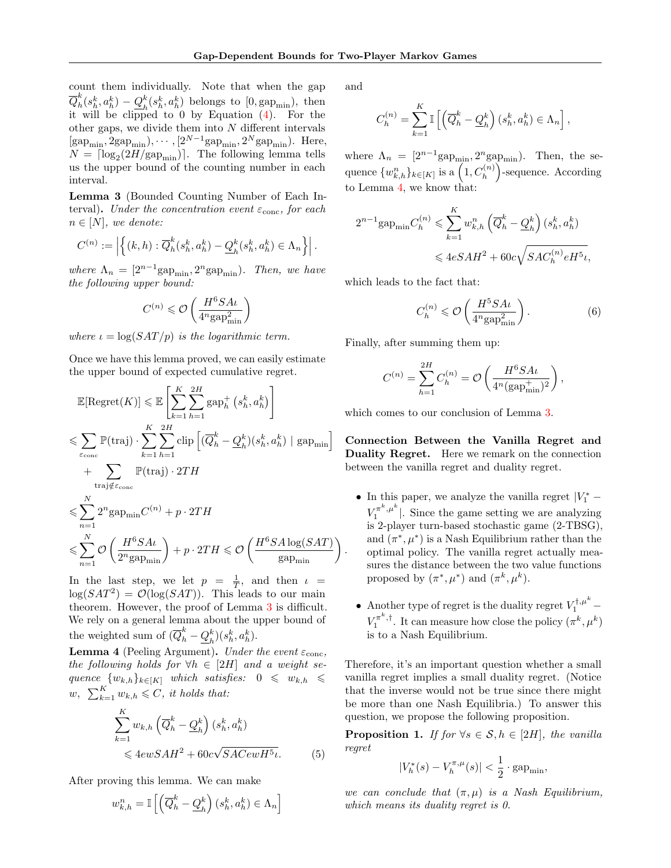count them individually. Note that when the gap  $\overline{Q}_h^k$  $\frac{k}{h}(s_h^k,a_h^k)-\underline{Q}_h^k$  $h_k^k(s_h^k, a_h^k)$  belongs to  $[0, \text{gap}_{\text{min}})$ , then it will be clipped to 0 by Equation [\(4\)](#page-4-2). For the other gaps, we divide them into  $N$  different intervals  $[\text{gap}_{\text{min}}, 2 \text{gap}_{\text{min}}), \cdots, [2^{N-1} \text{gap}_{\text{min}}, 2^N \text{gap}_{\text{min}}).$  Here,  $N = \lceil \log_2(2H/\text{gap}_{\text{min}}) \rceil$ . The following lemma tells us the upper bound of the counting number in each interval.

<span id="page-5-0"></span>Lemma 3 (Bounded Counting Number of Each Interval). Under the concentration event  $\varepsilon_{\text{conc}}$ , for each  $n \in [N]$ , we denote:

$$
C^{(n)} := \left| \left\{ (k, h) : \overline{Q}_h^k(s_h^k, a_h^k) - \underline{Q}_h^k(s_h^k, a_h^k) \in \Lambda_n \right\} \right|.
$$

where  $\Lambda_n = [2^{n-1} \text{gap}_{\text{min}}, 2^n \text{gap}_{\text{min}})$ . Then, we have the following upper bound:

$$
C^{(n)}\leqslant \mathcal{O}\left(\frac{H^6SAt}{4^n\mathrm{gap}^2_{\mathrm{min}}}\right)
$$

where  $\iota = \log(SAT/p)$  is the logarithmic term.

Once we have this lemma proved, we can easily estimate the upper bound of expected cumulative regret.

$$
\mathbb{E}[\text{Regret}(K)] \leq \mathbb{E}\left[\sum_{k=1}^{K} \sum_{h=1}^{2H} \text{gap}_{h}^{+} (s_{h}^{k}, a_{h}^{k})\right]
$$
\n
$$
\leq \sum_{\varepsilon_{\text{conc}}} \mathbb{P}(\text{traj}) \cdot \sum_{k=1}^{K} \sum_{h=1}^{2H} \text{clip}\left[(\overline{Q}_{h}^{k} - \underline{Q}_{h}^{k})(s_{h}^{k}, a_{h}^{k}) \mid \text{gap}_{\text{min}}\right]
$$
\n
$$
+ \sum_{\text{traj}\notin \varepsilon_{\text{conc}}} \mathbb{P}(\text{traj}) \cdot 2TH
$$
\n
$$
\leq \sum_{n=1}^{N} 2^{n} \text{gap}_{\text{min}} C^{(n)} + p \cdot 2TH
$$
\n
$$
\leq \sum_{n=1}^{N} \mathcal{O}\left(\frac{H^{6} S A \iota}{2^{n} \text{gap}_{\text{min}}}\right) + p \cdot 2TH \leq \mathcal{O}\left(\frac{H^{6} S A \log(SAT)}{\text{gap}_{\text{min}}}\right)
$$

In the last step, we let  $p = \frac{1}{T}$ , and then  $\iota$  $\log(SAT^2) = \mathcal{O}(\log(SAT)).$  This leads to our main theorem. However, the proof of Lemma [3](#page-5-0) is difficult. We rely on a general lemma about the upper bound of the weighted sum of  $(\overline{Q}_h^k - \underline{Q}_h^k)$  $_{h}^{k}) (s_{h}^{k}, a_{h}^{k}).$ 

<span id="page-5-1"></span>**Lemma 4** (Peeling Argument). Under the event  $\varepsilon_{\text{conc}}$ , the following holds for  $\forall h \in [2H]$  and a weight sequence  $\{w_{k,h}\}_{k\in[K]}$  which satisfies:  $0 \leq w_{k,h} \leq$  $w, \sum_{k=1}^{K} w_{k,h} \leqslant C, \text{ it holds that:}$ 

$$
\sum_{k=1}^{K} w_{k,h} \left( \overline{Q}_h^k - \underline{Q}_h^k \right) (s_h^k, a_h^k)
$$
  
\$\leqslant 4ewSAH^2 + 60c\sqrt{SACewH^5\iota}. \qquad (5)

After proving this lemma. We can make

$$
w_{k,h}^{n}=\mathbb{I}\left[\left(\overline{Q}_{h}^{k}-\underline{Q}_{h}^{k}\right)\left(s_{h}^{k}, a_{h}^{k}\right)\in\Lambda_{n}\right]
$$

and

.

$$
C_h^{(n)} = \sum_{k=1}^K \mathbb{I}\left[ \left( \overline{Q}_h^k - \underline{Q}_h^k \right) (s_h^k, a_h^k) \in \Lambda_n \right],
$$

where  $\Lambda_n = [2^{n-1} \text{gap}_{\text{min}}, 2^n \text{gap}_{\text{min}})$ . Then, the sequence  $\{w_{k,h}^n\}_{k\in[K]}$  is a  $\left(1, C_h^{(n)}\right)$ -sequence. According to Lemma [4,](#page-5-1) we know that:

$$
2^{n-1} \text{gap}_{\text{min}} C_h^{(n)} \leqslant \sum_{k=1}^K w_{k,h}^n \left(\overline{Q}_h^k - \underline{Q}_h^k\right) (s_h^k, a_h^k)
$$
  

$$
\leqslant 4eSAH^2 + 60c\sqrt{SAC_h^{(n)}eH^5\iota},
$$

which leads to the fact that:

$$
C_h^{(n)} \leqslant \mathcal{O}\left(\frac{H^5 S A \iota}{4^n \text{gap}_{\text{min}}^2}\right). \tag{6}
$$

Finally, after summing them up:

$$
C^{(n)} = \sum_{h=1}^{2H} C_h^{(n)} = \mathcal{O}\left(\frac{H^6 S A \iota}{4^n (\text{gap}_{\text{min}}^+)^2}\right),
$$

which comes to our conclusion of Lemma [3.](#page-5-0)

Connection Between the Vanilla Regret and Duality Regret. Here we remark on the connection between the vanilla regret and duality regret.

- In this paper, we analyze the vanilla regret  $|V_1^* V_1^{\pi^k, \mu^k}$ . Since the game setting we are analyzing is 2-player turn-based stochastic game (2-TBSG), and  $(\pi^*, \mu^*)$  is a Nash Equilibrium rather than the optimal policy. The vanilla regret actually measures the distance between the two value functions proposed by  $(\pi^*, \mu^*)$  and  $(\pi^k, \mu^k)$ .
- Another type of regret is the duality regret  $V_1^{\dagger,\mu^k}$   $V_1^{\pi^k,\dagger}.$  It can measure how close the policy  $(\pi^k,\mu^k)$ is to a Nash Equilibrium.

Therefore, it's an important question whether a small vanilla regret implies a small duality regret. (Notice that the inverse would not be true since there might be more than one Nash Equilibria.) To answer this question, we propose the following proposition.

<span id="page-5-2"></span>**Proposition 1.** If for  $\forall s \in \mathcal{S}, h \in [2H]$ , the vanilla regret

$$
|V_h^*(s) - V_h^{\pi,\mu}(s)| < \frac{1}{2} \cdot \text{gap}_{\text{min}},
$$

we can conclude that  $(\pi, \mu)$  is a Nash Equilibrium, which means its duality regret is 0.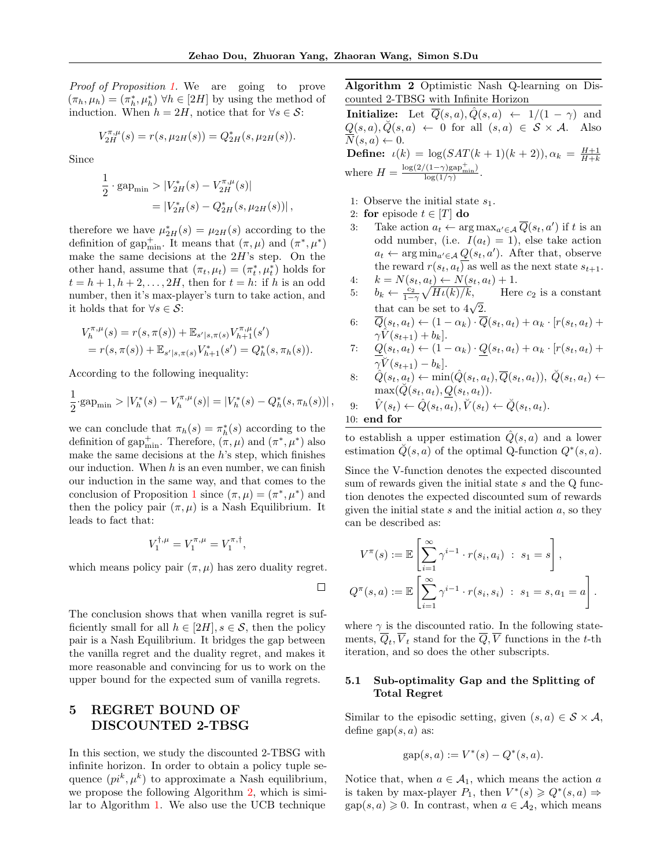$\Box$ 

Proof of Proposition [1.](#page-5-2) We are going to prove  $(\pi_h, \mu_h) = (\pi_h^*, \mu_h^*) \forall h \in [2H]$  by using the method of induction. When  $h = 2H$ , notice that for  $\forall s \in \mathcal{S}$ :

$$
V^{\pi,\mu}_{2H}(s) = r(s,\mu_{2H}(s)) = Q^*_{2H}(s,\mu_{2H}(s)).
$$

Since

$$
\frac{1}{2} \cdot \text{gap}_{\text{min}} > |V_{2H}^*(s) - V_{2H}^{\pi,\mu}(s)|
$$
  
= |V\_{2H}^\*(s) - Q\_{2H}^\*(s, \mu\_{2H}(s))|,

therefore we have  $\mu_{2H}^*(s) = \mu_{2H}(s)$  according to the definition of gap<sup>+</sup><sub>min</sub>. It means that  $(\pi, \mu)$  and  $(\pi^*, \mu^*)$ make the same decisions at the  $2H$ 's step. On the other hand, assume that  $(\pi_t, \mu_t) = (\pi_t^*, \mu_t^*)$  holds for  $t = h + 1, h + 2, \ldots, 2H$ , then for  $t = h$ : if h is an odd number, then it's max-player's turn to take action, and it holds that for  $\forall s \in \mathcal{S}$ :

$$
V_h^{\pi,\mu}(s) = r(s,\pi(s)) + \mathbb{E}_{s'|s,\pi(s)} V_{h+1}^{\pi,\mu}(s')
$$
  
=  $r(s,\pi(s)) + \mathbb{E}_{s'|s,\pi(s)} V_{h+1}^*(s') = Q_h^*(s,\pi_h(s)).$ 

According to the following inequality:

$$
\frac{1}{2} \cdot \text{gap}_{\min} > |V_h^*(s) - V_h^{\pi,\mu}(s)| = |V_h^*(s) - Q_h^*(s, \pi_h(s))|,
$$

we can conclude that  $\pi_h(s) = \pi_h^*(s)$  according to the definition of gap<sup>+</sup><sub>min</sub>. Therefore,  $(\pi, \mu)$  and  $(\pi^*, \mu^*)$  also make the same decisions at the  $h$ 's step, which finishes our induction. When  $h$  is an even number, we can finish our induction in the same way, and that comes to the conclusion of Proposition [1](#page-5-2) since  $(\pi, \mu) = (\pi^*, \mu^*)$  and then the policy pair  $(\pi, \mu)$  is a Nash Equilibrium. It leads to fact that:

$$
V_1^{\dagger,\mu} = V_1^{\pi,\mu} = V_1^{\pi,\dagger},
$$

which means policy pair  $(\pi, \mu)$  has zero duality regret.

The conclusion shows that when vanilla regret is sufficiently small for all  $h \in [2H], s \in \mathcal{S}$ , then the policy pair is a Nash Equilibrium. It bridges the gap between the vanilla regret and the duality regret, and makes it more reasonable and convincing for us to work on the upper bound for the expected sum of vanilla regrets.

## 5 REGRET BOUND OF DISCOUNTED 2-TBSG

In this section, we study the discounted 2-TBSG with infinite horizon. In order to obtain a policy tuple sequence  $(pi^k, \mu^k)$  to approximate a Nash equilibrium, we propose the following Algorithm [2,](#page-6-0) which is similar to Algorithm [1.](#page-3-0) We also use the UCB technique

<span id="page-6-0"></span>Algorithm 2 Optimistic Nash Q-learning on Discounted 2-TBSG with Infinite Horizon

**Initialize:** Let  $\overline{Q}(s, a), \hat{Q}(s, a) \leftarrow 1/(1 - \gamma)$  and  $Q(s, a), \check{Q}(s, a) \leftarrow 0$  for all  $(s, a) \in S \times A$ . Also  $N(s, a) \leftarrow 0.$ **Define:**  $\iota(k) = \log(SAT(k+1)(k+2)), \alpha_k = \frac{H+1}{H+k}$ where  $H = \frac{\log(2/(1-\gamma)\text{gap}_{\text{min}}^+)}{\log(1/\gamma)}$ .

- 1: Observe the initial state  $s_1$ .
- 2: for episode  $t \in [T]$  do
- 3: Take action  $a_t \leftarrow \arg \max_{a' \in \mathcal{A}} \overline{Q}(s_t, a')$  if t is an odd number, (i.e.  $I(a_t) = 1$ ), else take action  $a_t \leftarrow \arg \min_{a' \in \mathcal{A}} Q(s_t, a')$ . After that, observe the reward  $r(s_t, a_t)$  as well as the next state  $s_{t+1}$ .

4: 
$$
k = N(s_t, a_t) \leftarrow N(s_t, a_t) + 1.
$$

- 5:  $b_k \leftarrow \frac{c_2}{1-\gamma} \sqrt{H\iota(k)/k}$ , Here  $c_2$  is a constant that can be set to  $4\sqrt{2}$ .
- 6:  $\overline{Q}(s_t, a_t) \leftarrow (1 \alpha_k) \cdot \overline{Q}(s_t, a_t) + \alpha_k \cdot [r(s_t, a_t) +$  $\gamma V(s_{t+1}) + b_k$ .

7: 
$$
\underline{Q}(s_t, a_t) \leftarrow (1 - \alpha_k) \cdot \underline{Q}(s_t, a_t) + \alpha_k \cdot [r(s_t, a_t) + \gamma V(s_{t+1}) - b_k].
$$

 $8: \quad \hat{Q}(s_t, a_t) \leftarrow \min(\hat{Q}(s_t, a_t), \overline{Q}(s_t, a_t)), \ \breve{Q}(s_t, a_t) \leftarrow$  $\max(\overline{Q}(s_t, a_t), Q(s_t, a_t)).$ 

9: 
$$
\hat{V}(s_t) \leftarrow \hat{Q}(s_t, a_t), \check{V}(s_t) \leftarrow \check{Q}(s_t, a_t).
$$
  
10: **end for**

to establish a upper estimation  $\tilde{Q}(s, a)$  and a lower estimation  $\check{Q}(s, a)$  of the optimal Q-function  $Q^*(s, a)$ .

Since the V-function denotes the expected discounted sum of rewards given the initial state s and the Q function denotes the expected discounted sum of rewards given the initial state  $s$  and the initial action  $a$ , so they can be described as:

$$
V^{\pi}(s) := \mathbb{E}\left[\sum_{i=1}^{\infty} \gamma^{i-1} \cdot r(s_i, a_i) : s_1 = s\right],
$$
  

$$
Q^{\pi}(s, a) := \mathbb{E}\left[\sum_{i=1}^{\infty} \gamma^{i-1} \cdot r(s_i, s_i) : s_1 = s, a_1 = a\right].
$$

where  $\gamma$  is the discounted ratio. In the following statements,  $Q_t$ ,  $V_t$  stand for the  $Q$ , V functions in the t-th iteration, and so does the other subscripts.

## 5.1 Sub-optimality Gap and the Splitting of Total Regret

Similar to the episodic setting, given  $(s, a) \in S \times A$ , define gap $(s, a)$  as:

$$
gap(s, a) := V^*(s) - Q^*(s, a).
$$

Notice that, when  $a \in \mathcal{A}_1$ , which means the action a is taken by max-player  $P_1$ , then  $V^*(s) \geq Q^*(s, a) \Rightarrow$  $\text{gap}(s, a) \geq 0$ . In contrast, when  $a \in \mathcal{A}_2$ , which means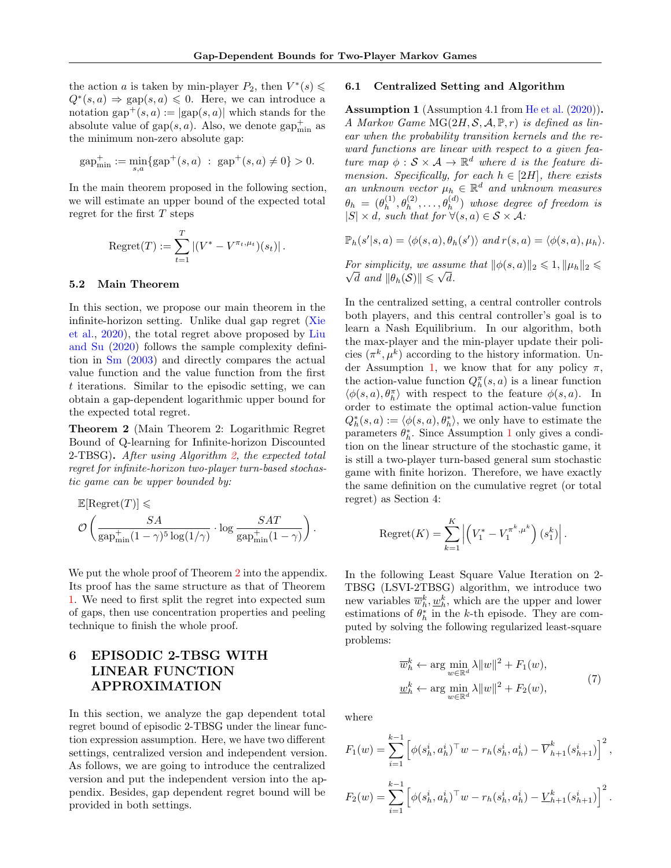the action *a* is taken by min-player  $P_2$ , then  $V^*(s) \leq$  $Q^*(s, a) \Rightarrow \text{gap}(s, a) \leq 0$ . Here, we can introduce a notation gap<sup>+</sup> $(s, a) := |gap(s, a)|$  which stands for the absolute value of  $\text{gap}(s, a)$ . Also, we denote  $\text{gap}_{\text{min}}^+$  as the minimum non-zero absolute gap:

$$
gap_{\min}^+ := \min_{s,a} \{ gap^+(s,a) : gap^+(s,a) \neq 0 \} > 0.
$$

In the main theorem proposed in the following section, we will estimate an upper bound of the expected total regret for the first  $T$  steps

Regret
$$
(T) := \sum_{t=1}^{T} |(V^* - V^{\pi_t, \mu_t})(s_t)|.
$$

#### 5.2 Main Theorem

In this section, we propose our main theorem in the infinite-horizon setting. Unlike dual gap regret [\(Xie](#page-10-4) [et al.,](#page-10-4) [2020\)](#page-10-4), the total regret above proposed by [Liu](#page-9-5) [and Su](#page-9-5) [\(2020\)](#page-9-5) follows the sample complexity definition in [Sm](#page-9-3) [\(2003\)](#page-9-3) and directly compares the actual value function and the value function from the first t iterations. Similar to the episodic setting, we can obtain a gap-dependent logarithmic upper bound for the expected total regret.

<span id="page-7-1"></span>Theorem 2 (Main Theorem 2: Logarithmic Regret Bound of Q-learning for Infinite-horizon Discounted 2-TBSG). After using Algorithm [2,](#page-6-0) the expected total regret for infinite-horizon two-player turn-based stochastic game can be upper bounded by:

$$
\begin{aligned} &\mathbb{E}[\text{Regret}(T)] \leqslant \\ & \mathcal{O}\left(\frac{SA}{\text{gap}^+_{\min}(1-\gamma)^5\log(1/\gamma)} \cdot \log\frac{SAT}{\text{gap}^+_{\min}(1-\gamma)}\right). \end{aligned}
$$

We put the whole proof of Theorem [2](#page-7-1) into the appendix. Its proof has the same structure as that of Theorem [1.](#page-4-0) We need to first split the regret into expected sum of gaps, then use concentration properties and peeling technique to finish the whole proof.

## 6 EPISODIC 2-TBSG WITH LINEAR FUNCTION APPROXIMATION

In this section, we analyze the gap dependent total regret bound of episodic 2-TBSG under the linear function expression assumption. Here, we have two different settings, centralized version and independent version. As follows, we are going to introduce the centralized version and put the independent version into the appendix. Besides, gap dependent regret bound will be provided in both settings.

#### 6.1 Centralized Setting and Algorithm

<span id="page-7-0"></span>Assumption 1 (Assumption 4.1 from [He et al.](#page-9-7) [\(2020\)](#page-9-7)). A Markov Game  $MG(2H, S, A, \mathbb{P}, r)$  is defined as linear when the probability transition kernels and the reward functions are linear with respect to a given feature map  $\phi : \mathcal{S} \times \mathcal{A} \to \mathbb{R}^d$  where d is the feature dimension. Specifically, for each  $h \in [2H]$ , there exists an unknown vector  $\mu_h \in \mathbb{R}^d$  and unknown measures  $\theta_h \,=\, (\theta_h^{(1)}$  $\theta_h^{(1)}, \theta_h^{(2)}, \ldots, \theta_h^{(d)}$  whose degree of freedom is  $|S| \times d$ , such that for  $\forall (s,a) \in S \times A$ :

$$
\mathbb{P}_h(s'|s,a) = \langle \phi(s,a), \theta_h(s') \rangle \text{ and } r(s,a) = \langle \phi(s,a), \mu_h \rangle.
$$

For simplicity, we assume that  $\|\phi(s, a)\|_2 \leqslant 1, \|\mu_h\|_2 \leqslant$  $\overline{d}$  and  $\|\theta_h(\mathcal{S})\| \leqslant \sqrt{d}$ .

In the centralized setting, a central controller controls both players, and this central controller's goal is to learn a Nash Equilibrium. In our algorithm, both the max-player and the min-player update their policies  $(\pi^k, \mu^k)$  according to the history information. Un-der Assumption [1,](#page-7-0) we know that for any policy  $\pi$ , the action-value function  $Q_h^{\pi}(s, a)$  is a linear function  $\langle \phi(s, a), \theta^{\pi}_h \rangle$  with respect to the feature  $\phi(s, a)$ . In order to estimate the optimal action-value function  $Q_h^*(s, a) := \langle \phi(s, a), \theta_h^* \rangle$ , we only have to estimate the parameters  $\theta_h^*$ . Since Assumption [1](#page-7-0) only gives a condition on the linear structure of the stochastic game, it is still a two-player turn-based general sum stochastic game with finite horizon. Therefore, we have exactly the same definition on the cumulative regret (or total regret) as Section 4:

Regret(K) = 
$$
\sum_{k=1}^{K} \left| \left( V_1^* - V_1^{\pi^k, \mu^k} \right) (s_1^k) \right|
$$
.

In the following Least Square Value Iteration on 2- TBSG (LSVI-2TBSG) algorithm, we introduce two new variables  $\overline{w}_h^k, \underline{w}_h^k$ , which are the upper and lower estimations of  $\theta_h^*$  in the k-th episode. They are computed by solving the following regularized least-square problems:

$$
\overline{w}_h^k \leftarrow \arg \min_{w \in \mathbb{R}^d} \lambda \|w\|^2 + F_1(w),
$$
  

$$
\underline{w}_h^k \leftarrow \arg \min_{w \in \mathbb{R}^d} \lambda \|w\|^2 + F_2(w),
$$
 (7)

where

$$
F_1(w) = \sum_{i=1}^{k-1} \left[ \phi(s_h^i, a_h^i)^\top w - r_h(s_h^i, a_h^i) - \overline{V}_{h+1}^k(s_{h+1}^i) \right]^2,
$$
  

$$
F_2(w) = \sum_{i=1}^{k-1} \left[ \phi(s_h^i, a_h^i)^\top w - r_h(s_h^i, a_h^i) - \underline{V}_{h+1}^k(s_{h+1}^i) \right]^2.
$$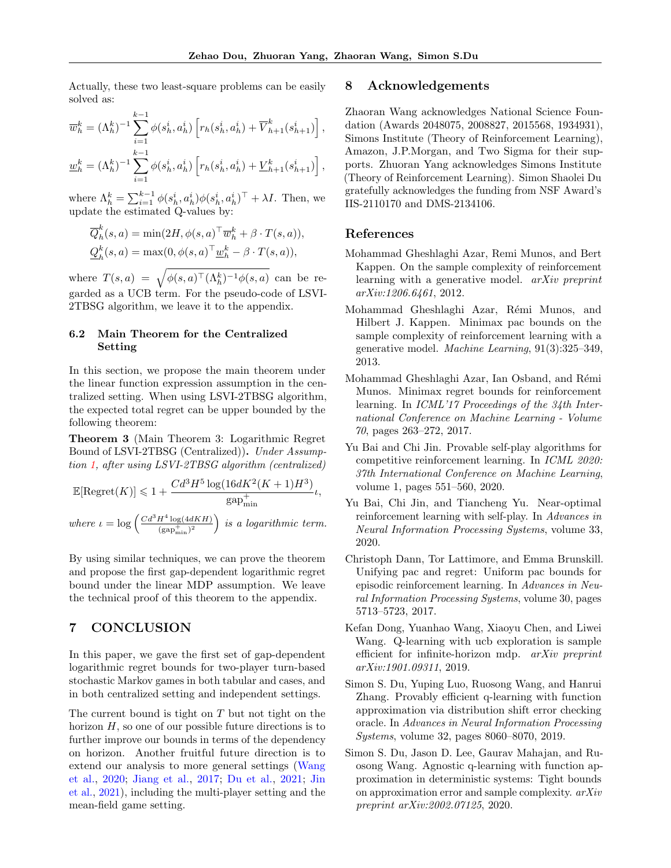Actually, these two least-square problems can be easily solved as:

$$
\overline{w}_h^k = (\Lambda_h^k)^{-1} \sum_{i=1}^{k-1} \phi(s_h^i, a_h^i) \left[ r_h(s_h^i, a_h^i) + \overline{V}_{h+1}^k(s_{h+1}^i) \right],
$$
  

$$
\underline{w}_h^k = (\Lambda_h^k)^{-1} \sum_{i=1}^{k-1} \phi(s_h^i, a_h^i) \left[ r_h(s_h^i, a_h^i) + \underline{V}_{h+1}^k(s_{h+1}^i) \right],
$$

where  $\Lambda_h^k = \sum_{i=1}^{k-1} \phi(s_h^i, a_h^i) \phi(s_h^i, a_h^i)^\top + \lambda I$ . Then, we update the estimated Q-values by:

$$
\overline{Q}_h^k(s, a) = \min(2H, \phi(s, a)^\top \overline{w}_h^k + \beta \cdot T(s, a)),
$$
  

$$
\underline{Q}_h^k(s, a) = \max(0, \phi(s, a)^\top \underline{w}_h^k - \beta \cdot T(s, a)),
$$

where  $T(s,a) = \sqrt{\phi(s,a)^{\top} (\Lambda_h^k)^{-1} \phi(s,a)}$  can be regarded as a UCB term. For the pseudo-code of LSVI-2TBSG algorithm, we leave it to the appendix.

## 6.2 Main Theorem for the Centralized Setting

In this section, we propose the main theorem under the linear function expression assumption in the centralized setting. When using LSVI-2TBSG algorithm, the expected total regret can be upper bounded by the following theorem:

<span id="page-8-9"></span>Theorem 3 (Main Theorem 3: Logarithmic Regret Bound of LSVI-2TBSG (Centralized)). Under Assumption [1,](#page-7-0) after using LSVI-2TBSG algorithm (centralized)

$$
\mathbb{E}[\text{Regret}(K)] \leq 1 + \frac{Cd^3H^5\log(16dK^2(K+1)H^3)}{\text{gap}_{\text{min}}^+} \iota,
$$
  
where  $\iota = \log\left(\frac{Cd^3H^4\log(4dKH)}{(\text{gap}_{\text{min}}^+)^2}\right)$  is a logarithmic term.

By using similar techniques, we can prove the theorem and propose the first gap-dependent logarithmic regret bound under the linear MDP assumption. We leave the technical proof of this theorem to the appendix.

## 7 CONCLUSION

In this paper, we gave the first set of gap-dependent logarithmic regret bounds for two-player turn-based stochastic Markov games in both tabular and cases, and in both centralized setting and independent settings.

The current bound is tight on  $T$  but not tight on the horizon  $H$ , so one of our possible future directions is to further improve our bounds in terms of the dependency on horizon. Another fruitful future direction is to extend our analysis to more general settings [\(Wang](#page-10-14) [et al.,](#page-10-14) [2020;](#page-10-14) [Jiang et al.,](#page-9-21) [2017;](#page-9-21) [Du et al.,](#page-9-22) [2021;](#page-9-22) [Jin](#page-9-23) [et al.,](#page-9-23) [2021\)](#page-9-23), including the multi-player setting and the mean-field game setting.

## 8 Acknowledgements

Zhaoran Wang acknowledges National Science Foundation (Awards 2048075, 2008827, 2015568, 1934931), Simons Institute (Theory of Reinforcement Learning), Amazon, J.P.Morgan, and Two Sigma for their supports. Zhuoran Yang acknowledges Simons Institute (Theory of Reinforcement Learning). Simon Shaolei Du gratefully acknowledges the funding from NSF Award's IIS-2110170 and DMS-2134106.

## References

- <span id="page-8-5"></span>Mohammad Gheshlaghi Azar, Remi Munos, and Bert Kappen. On the sample complexity of reinforcement learning with a generative model. arXiv preprint arXiv:1206.6461, 2012.
- <span id="page-8-0"></span>Mohammad Gheshlaghi Azar, Rémi Munos, and Hilbert J. Kappen. Minimax pac bounds on the sample complexity of reinforcement learning with a generative model. Machine Learning, 91(3):325–349, 2013.
- <span id="page-8-6"></span>Mohammad Gheshlaghi Azar, Ian Osband, and Rémi Munos. Minimax regret bounds for reinforcement learning. In ICML'17 Proceedings of the 34th International Conference on Machine Learning - Volume 70, pages 263–272, 2017.
- <span id="page-8-8"></span>Yu Bai and Chi Jin. Provable self-play algorithms for competitive reinforcement learning. In ICML 2020: 37th International Conference on Machine Learning, volume 1, pages 551–560, 2020.
- <span id="page-8-2"></span>Yu Bai, Chi Jin, and Tiancheng Yu. Near-optimal reinforcement learning with self-play. In Advances in Neural Information Processing Systems, volume 33, 2020.
- <span id="page-8-4"></span>Christoph Dann, Tor Lattimore, and Emma Brunskill. Unifying pac and regret: Uniform pac bounds for episodic reinforcement learning. In Advances in Neural Information Processing Systems, volume 30, pages 5713–5723, 2017.
- <span id="page-8-1"></span>Kefan Dong, Yuanhao Wang, Xiaoyu Chen, and Liwei Wang. Q-learning with ucb exploration is sample efficient for infinite-horizon mdp. arXiv preprint arXiv:1901.09311, 2019.
- <span id="page-8-3"></span>Simon S. Du, Yuping Luo, Ruosong Wang, and Hanrui Zhang. Provably efficient q-learning with function approximation via distribution shift error checking oracle. In Advances in Neural Information Processing Systems, volume 32, pages 8060–8070, 2019.
- <span id="page-8-7"></span>Simon S. Du, Jason D. Lee, Gaurav Mahajan, and Ruosong Wang. Agnostic q-learning with function approximation in deterministic systems: Tight bounds on approximation error and sample complexity. arXiv preprint arXiv:2002.07125, 2020.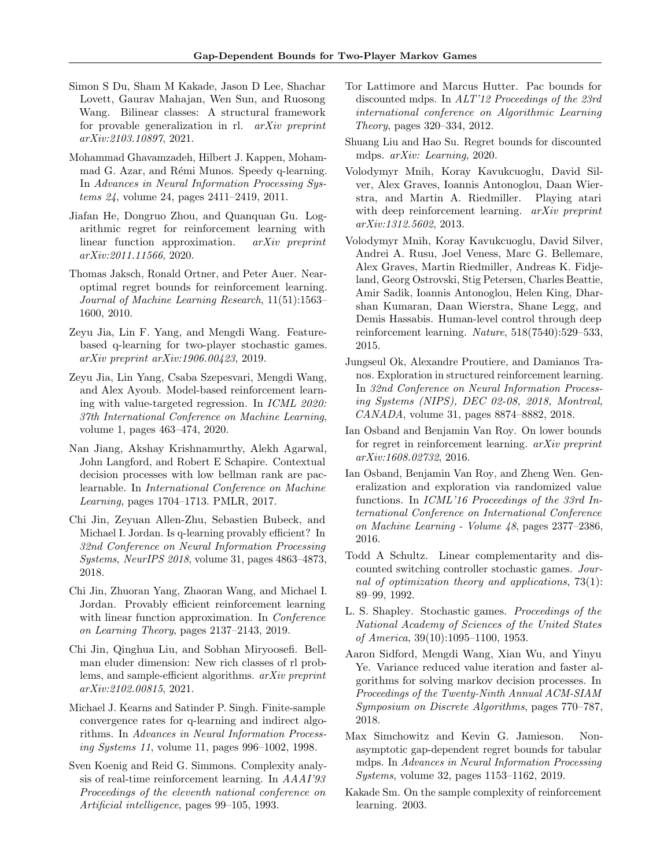- <span id="page-9-22"></span>Simon S Du, Sham M Kakade, Jason D Lee, Shachar Lovett, Gaurav Mahajan, Wen Sun, and Ruosong Wang. Bilinear classes: A structural framework for provable generalization in rl. arXiv preprint arXiv:2103.10897, 2021.
- <span id="page-9-16"></span>Mohammad Ghavamzadeh, Hilbert J. Kappen, Mohammad G. Azar, and Rémi Munos. Speedy q-learning. In Advances in Neural Information Processing Systems 24, volume 24, pages 2411–2419, 2011.
- <span id="page-9-7"></span>Jiafan He, Dongruo Zhou, and Quanquan Gu. Logarithmic regret for reinforcement learning with linear function approximation. arXiv preprint arXiv:2011.11566, 2020.
- <span id="page-9-12"></span>Thomas Jaksch, Ronald Ortner, and Peter Auer. Nearoptimal regret bounds for reinforcement learning. Journal of Machine Learning Research, 11(51):1563– 1600, 2010.
- <span id="page-9-10"></span>Zeyu Jia, Lin F. Yang, and Mengdi Wang. Featurebased q-learning for two-player stochastic games. arXiv preprint arXiv:1906.00423, 2019.
- <span id="page-9-19"></span>Zeyu Jia, Lin Yang, Csaba Szepesvari, Mengdi Wang, and Alex Ayoub. Model-based reinforcement learning with value-targeted regression. In ICML 2020: 37th International Conference on Machine Learning, volume 1, pages 463–474, 2020.
- <span id="page-9-21"></span>Nan Jiang, Akshay Krishnamurthy, Alekh Agarwal, John Langford, and Robert E Schapire. Contextual decision processes with low bellman rank are paclearnable. In International Conference on Machine Learning, pages 1704–1713. PMLR, 2017.
- <span id="page-9-4"></span>Chi Jin, Zeyuan Allen-Zhu, Sebastien Bubeck, and Michael I. Jordan. Is q-learning provably efficient? In 32nd Conference on Neural Information Processing Systems, NeurIPS 2018, volume 31, pages 4863–4873, 2018.
- <span id="page-9-9"></span>Chi Jin, Zhuoran Yang, Zhaoran Wang, and Michael I. Jordan. Provably efficient reinforcement learning with linear function approximation. In *Conference* on Learning Theory, pages 2137–2143, 2019.
- <span id="page-9-23"></span>Chi Jin, Qinghua Liu, and Sobhan Miryoosefi. Bellman eluder dimension: New rich classes of rl problems, and sample-efficient algorithms. arXiv preprint arXiv:2102.00815, 2021.
- <span id="page-9-2"></span>Michael J. Kearns and Satinder P. Singh. Finite-sample convergence rates for q-learning and indirect algorithms. In Advances in Neural Information Processing Systems 11, volume 11, pages 996–1002, 1998.
- <span id="page-9-17"></span>Sven Koenig and Reid G. Simmons. Complexity analysis of real-time reinforcement learning. In AAAI'93 Proceedings of the eleventh national conference on Artificial intelligence, pages 99–105, 1993.
- <span id="page-9-15"></span>Tor Lattimore and Marcus Hutter. Pac bounds for discounted mdps. In ALT'12 Proceedings of the 23rd international conference on Algorithmic Learning Theory, pages 320–334, 2012.
- <span id="page-9-5"></span>Shuang Liu and Hao Su. Regret bounds for discounted mdps. arXiv: Learning, 2020.
- <span id="page-9-0"></span>Volodymyr Mnih, Koray Kavukcuoglu, David Silver, Alex Graves, Ioannis Antonoglou, Daan Wierstra, and Martin A. Riedmiller. Playing atari with deep reinforcement learning. arXiv preprint arXiv:1312.5602, 2013.
- <span id="page-9-1"></span>Volodymyr Mnih, Koray Kavukcuoglu, David Silver, Andrei A. Rusu, Joel Veness, Marc G. Bellemare, Alex Graves, Martin Riedmiller, Andreas K. Fidjeland, Georg Ostrovski, Stig Petersen, Charles Beattie, Amir Sadik, Ioannis Antonoglou, Helen King, Dharshan Kumaran, Daan Wierstra, Shane Legg, and Demis Hassabis. Human-level control through deep reinforcement learning. Nature, 518(7540):529–533, 2015.
- <span id="page-9-6"></span>Jungseul Ok, Alexandre Proutiere, and Damianos Tranos. Exploration in structured reinforcement learning. In 32nd Conference on Neural Information Processing Systems (NIPS), DEC 02-08, 2018, Montreal, CANADA, volume 31, pages 8874–8882, 2018.
- <span id="page-9-18"></span>Ian Osband and Benjamin Van Roy. On lower bounds for regret in reinforcement learning. arXiv preprint arXiv:1608.02732, 2016.
- <span id="page-9-13"></span>Ian Osband, Benjamin Van Roy, and Zheng Wen. Generalization and exploration via randomized value functions. In ICML'16 Proceedings of the 33rd International Conference on International Conference on Machine Learning - Volume 48, pages 2377–2386, 2016.
- <span id="page-9-20"></span>Todd A Schultz. Linear complementarity and discounted switching controller stochastic games. Journal of optimization theory and applications, 73(1): 89–99, 1992.
- <span id="page-9-11"></span>L. S. Shapley. Stochastic games. Proceedings of the National Academy of Sciences of the United States of America, 39(10):1095–1100, 1953.
- <span id="page-9-14"></span>Aaron Sidford, Mengdi Wang, Xian Wu, and Yinyu Ye. Variance reduced value iteration and faster algorithms for solving markov decision processes. In Proceedings of the Twenty-Ninth Annual ACM-SIAM Symposium on Discrete Algorithms, pages 770–787, 2018.
- <span id="page-9-8"></span>Max Simchowitz and Kevin G. Jamieson. Nonasymptotic gap-dependent regret bounds for tabular mdps. In Advances in Neural Information Processing Systems, volume 32, pages 1153–1162, 2019.
- <span id="page-9-3"></span>Kakade Sm. On the sample complexity of reinforcement learning. 2003.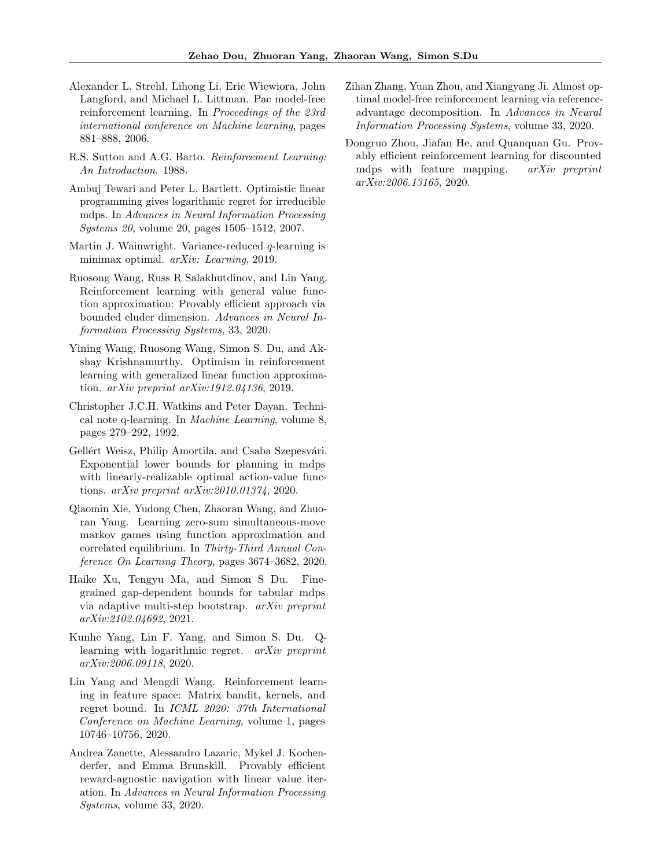- <span id="page-10-5"></span>Alexander L. Strehl, Lihong Li, Eric Wiewiora, John Langford, and Michael L. Littman. Pac model-free reinforcement learning. In Proceedings of the 23rd international conference on Machine learning, pages 881–888, 2006.
- <span id="page-10-0"></span>R.S. Sutton and A.G. Barto. Reinforcement Learning: An Introduction. 1988.
- <span id="page-10-8"></span>Ambuj Tewari and Peter L. Bartlett. Optimistic linear programming gives logarithmic regret for irreducible mdps. In Advances in Neural Information Processing Systems 20, volume 20, pages 1505–1512, 2007.
- <span id="page-10-6"></span>Martin J. Wainwright. Variance-reduced  $q$ -learning is minimax optimal. arXiv: Learning, 2019.
- <span id="page-10-14"></span>Ruosong Wang, Russ R Salakhutdinov, and Lin Yang. Reinforcement learning with general value function approximation: Provably efficient approach via bounded eluder dimension. Advances in Neural Information Processing Systems, 33, 2020.
- <span id="page-10-9"></span>Yining Wang, Ruosong Wang, Simon S. Du, and Akshay Krishnamurthy. Optimism in reinforcement learning with generalized linear function approximation. arXiv preprint arXiv:1912.04136, 2019.
- <span id="page-10-1"></span>Christopher J.C.H. Watkins and Peter Dayan. Technical note q-learning. In Machine Learning, volume 8, pages 279–292, 1992.
- <span id="page-10-13"></span>Gellért Weisz, Philip Amortila, and Csaba Szepesvári. Exponential lower bounds for planning in mdps with linearly-realizable optimal action-value functions. arXiv preprint arXiv:2010.01374, 2020.
- <span id="page-10-4"></span>Qiaomin Xie, Yudong Chen, Zhaoran Wang, and Zhuoran Yang. Learning zero-sum simultaneous-move markov games using function approximation and correlated equilibrium. In Thirty-Third Annual Conference On Learning Theory, pages 3674–3682, 2020.
- <span id="page-10-3"></span>Haike Xu, Tengyu Ma, and Simon S Du. Finegrained gap-dependent bounds for tabular mdps via adaptive multi-step bootstrap. arXiv preprint arXiv:2102.04692, 2021.
- <span id="page-10-2"></span>Kunhe Yang, Lin F. Yang, and Simon S. Du. Qlearning with logarithmic regret. arXiv preprint arXiv:2006.09118, 2020.
- <span id="page-10-10"></span>Lin Yang and Mengdi Wang. Reinforcement learning in feature space: Matrix bandit, kernels, and regret bound. In ICML 2020: 37th International Conference on Machine Learning, volume 1, pages 10746–10756, 2020.
- <span id="page-10-11"></span>Andrea Zanette, Alessandro Lazaric, Mykel J. Kochenderfer, and Emma Brunskill. Provably efficient reward-agnostic navigation with linear value iteration. In Advances in Neural Information Processing Systems, volume 33, 2020.
- <span id="page-10-7"></span>Zihan Zhang, Yuan Zhou, and Xiangyang Ji. Almost optimal model-free reinforcement learning via referenceadvantage decomposition. In Advances in Neural Information Processing Systems, volume 33, 2020.
- <span id="page-10-12"></span>Dongruo Zhou, Jiafan He, and Quanquan Gu. Provably efficient reinforcement learning for discounted mdps with feature mapping. arXiv preprint arXiv:2006.13165, 2020.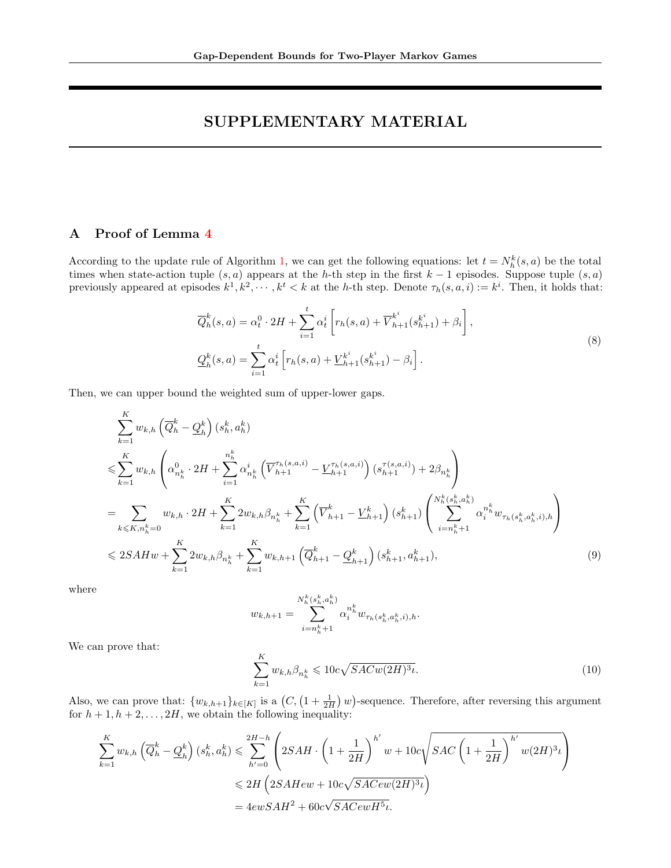# SUPPLEMENTARY MATERIAL

## A Proof of Lemma [4](#page-5-1)

According to the update rule of Algorithm [1,](#page-3-0) we can get the following equations: let  $t = N_h^k(s, a)$  be the total times when state-action tuple  $(s, a)$  appears at the h-th step in the first  $k - 1$  episodes. Suppose tuple  $(s, a)$ previously appeared at episodes  $k^1, k^2, \cdots, k^t < k$  at the h-th step. Denote  $\tau_h(s, a, i) := k^i$ . Then, it holds that:

$$
\overline{Q}_h^k(s, a) = \alpha_t^0 \cdot 2H + \sum_{i=1}^t \alpha_t^i \left[ r_h(s, a) + \overline{V}_{h+1}^{k^i}(s_{h+1}^{k^i}) + \beta_i \right],
$$
  
\n
$$
\underline{Q}_h^k(s, a) = \sum_{i=1}^t \alpha_t^i \left[ r_h(s, a) + \underline{V}_{h+1}^{k^i}(s_{h+1}^{k^i}) - \beta_i \right].
$$
\n(8)

Then, we can upper bound the weighted sum of upper-lower gaps.

$$
\sum_{k=1}^{K} w_{k,h} \left( \overline{Q}_{h}^{k} - \underline{Q}_{h}^{k} \right) (s_{h}^{k}, a_{h}^{k})
$$
\n
$$
\leq \sum_{k=1}^{K} w_{k,h} \left( \alpha_{n_{h}^{k}}^{0} \cdot 2H + \sum_{i=1}^{n_{h}^{k}} \alpha_{n_{h}^{k}}^{i} \left( \overline{V}_{h+1}^{\tau_{h}(s,a,i)} - \underline{V}_{h+1}^{\tau_{h}(s,a,i)} \right) (s_{h+1}^{\tau(s,a,i)}) + 2\beta_{n_{h}^{k}} \right)
$$
\n
$$
= \sum_{k \leq K, n_{h}^{k}=0} w_{k,h} \cdot 2H + \sum_{k=1}^{K} 2w_{k,h}\beta_{n_{h}^{k}} + \sum_{k=1}^{K} \left( \overline{V}_{h+1}^{k} - \underline{V}_{h+1}^{k} \right) (s_{h+1}^{k}) \left( \sum_{i=n_{h}^{k}+1}^{N_{h}^{k}(s_{h}^{k}, a_{h}^{k})} \alpha_{i}^{n_{h}^{k}} w_{\tau_{h}(s_{h}^{k}, a_{h}^{k}, i), h} \right)
$$
\n
$$
\leq 2SAHw + \sum_{k=1}^{K} 2w_{k,h}\beta_{n_{h}^{k}} + \sum_{k=1}^{K} w_{k,h+1} \left( \overline{Q}_{h+1}^{k} - \underline{Q}_{h+1}^{k} \right) (s_{h+1}^{k}, a_{h+1}^{k}), \tag{9}
$$

where

$$
w_{k,h+1} = \sum_{i=n_h^k+1}^{N_h^k(s_h^k, a_h^k)} \alpha_i^{n_h^k} w_{\tau_h(s_h^k, a_h^k, i), h}.
$$

We can prove that:

$$
\sum_{k=1}^{K} w_{k,h} \beta_{n_h^k} \leqslant 10c\sqrt{SACw(2H)^3\iota}.\tag{10}
$$

Also, we can prove that:  $\{w_{k,h+1}\}_{k\in[K]}$  is a  $(C, (1+\frac{1}{2H})w)$ -sequence. Therefore, after reversing this argument for  $h + 1, h + 2, \ldots, 2H$ , we obtain the following inequality:

$$
\sum_{k=1}^{K} w_{k,h} \left( \overline{Q}_h^k - \underline{Q}_h^k \right) (s_h^k, a_h^k) \leqslant \sum_{h'=0}^{2H-h} \left( 2SAH \cdot \left( 1 + \frac{1}{2H} \right)^{h'} w + 10c \sqrt{SAC \left( 1 + \frac{1}{2H} \right)^{h'} w(2H)^3 \iota} \right)
$$
  

$$
\leqslant 2H \left( 2SAHew + 10c \sqrt{SACew(2H)^3 \iota} \right)
$$
  

$$
= 4ewSAH^2 + 60c \sqrt{SACewH^5 \iota}.
$$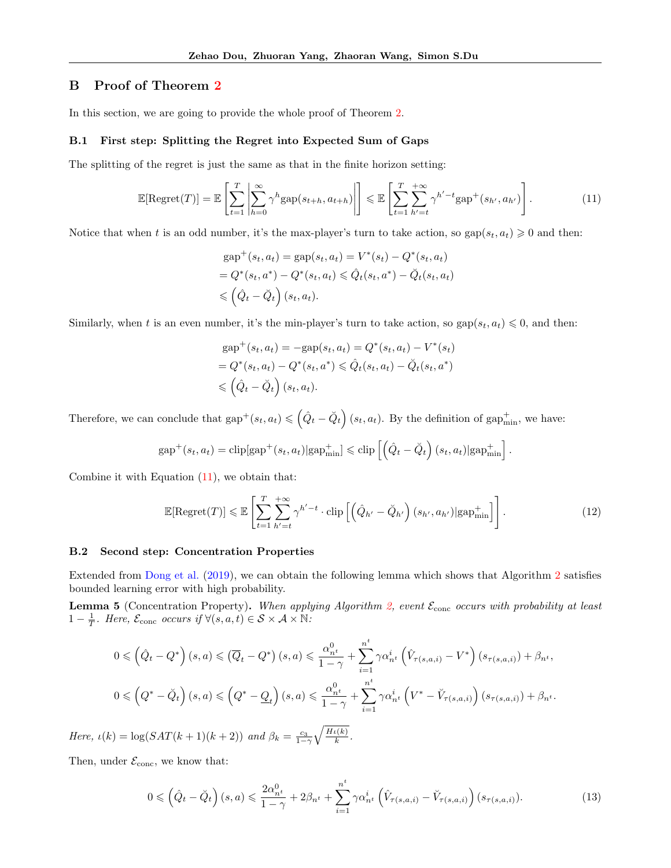## B Proof of Theorem [2](#page-7-1)

In this section, we are going to provide the whole proof of Theorem [2.](#page-7-1)

#### <span id="page-12-0"></span>B.1 First step: Splitting the Regret into Expected Sum of Gaps

The splitting of the regret is just the same as that in the finite horizon setting:

$$
\mathbb{E}[\text{Regret}(T)] = \mathbb{E}\left[\sum_{t=1}^{T} \left| \sum_{h=0}^{\infty} \gamma^h \text{gap}(s_{t+h}, a_{t+h}) \right| \right] \leq \mathbb{E}\left[\sum_{t=1}^{T} \sum_{h'=t}^{+\infty} \gamma^{h'-t} \text{gap}^+(s_{h'}, a_{h'}) \right].
$$
\n(11)

Notice that when t is an odd number, it's the max-player's turn to take action, so gap $(s_t, a_t) \geq 0$  and then:

<span id="page-12-1"></span>
$$
gap+(st, at) = gap(st, at) = V*(st) - Q*(st, at)= Q*(st, a*) - Q*(st, at)  $\leq \hat{Q}_t(s_t, a^*) - \check{Q}_t(s_t, a_t)$   
 $\leq (\hat{Q}_t - \check{Q}_t) (s_t, a_t).$
$$

Similarly, when t is an even number, it's the min-player's turn to take action, so  $\text{gap}(s_t, a_t) \leq 0$ , and then:

$$
gap+(st, at) = -gap(st, at) = Q*(st, at) - V*(st)= Q*(st, at) - Q*(st, a*) \le \hat{Q}t(st, at) - \check{Q}t(st, a*)< \left(\hat{Q}t - \check{Q}t\right) (st, at).
$$

Therefore, we can conclude that  $\text{gap}^+(s_t, a_t) \leqslant (\hat{Q}_t - \check{Q}_t) (s_t, a_t)$ . By the definition of  $\text{gap}_{\text{min}}^+$ , we have:

$$
gap^+(s_t, a_t) = \text{clip}[gap^+(s_t, a_t)|gap^+_{\min}] \leq \text{clip}\left[\left(\hat{Q}_t - \check{Q}_t\right)(s_t, a_t)|gap^+_{\min}\right].
$$

Combine it with Equation [\(11\)](#page-12-1), we obtain that:

<span id="page-12-2"></span>
$$
\mathbb{E}[\text{Regret}(T)] \leq \mathbb{E}\left[\sum_{t=1}^{T} \sum_{h'=t}^{+\infty} \gamma^{h'-t} \cdot \text{clip}\left[\left(\hat{Q}_{h'} - \check{Q}_{h'}\right)(s_{h'}, a_{h'}) | \text{gap}_{\text{min}}^{+}\right]\right].\tag{12}
$$

#### B.2 Second step: Concentration Properties

Extended from [Dong et al.](#page-8-1) [\(2019\)](#page-8-1), we can obtain the following lemma which shows that Algorithm [2](#page-6-0) satisfies bounded learning error with high probability.

<span id="page-12-3"></span>**Lemma 5** (Concentration Property). When applying Algorithm [2,](#page-6-0) event  $\mathcal{E}_{\text{conc}}$  occurs with probability at least 1 –  $\frac{1}{T}$ . Here,  $\mathcal{E}_{\text{conc}}$  occurs if  $\forall (s, a, t) \in \mathcal{S} \times \mathcal{A} \times \mathbb{N}$ .

$$
0 \leqslant (\hat{Q}_t - Q^*) (s, a) \leqslant (\overline{Q}_t - Q^*) (s, a) \leqslant \frac{\alpha_{n^t}^0}{1 - \gamma} + \sum_{i=1}^{n^t} \gamma \alpha_{n^t}^i \left(\hat{V}_{\tau(s, a, i)} - V^*\right) (s_{\tau(s, a, i)}) + \beta_{n^t},
$$
  

$$
0 \leqslant \left(Q^* - \breve{Q}_t\right)(s, a) \leqslant \left(Q^* - \underline{Q}_t\right)(s, a) \leqslant \frac{\alpha_{n^t}^0}{1 - \gamma} + \sum_{i=1}^{n^t} \gamma \alpha_{n^t}^i \left(V^* - \breve{V}_{\tau(s, a, i)}\right) (s_{\tau(s, a, i)}) + \beta_{n^t}.
$$

Here,  $\iota(k) = \log(SAT(k+1)(k+2))$  and  $\beta_k = \frac{c_3}{1-\gamma} \sqrt{\frac{H\iota(k)}{k}}$  $\frac{\iota(\kappa)}{k}$ .

Then, under  $\mathcal{E}_{\text{conc}}$ , we know that:

$$
0 \leqslant \left(\hat{Q}_t - \breve{Q}_t\right)(s, a) \leqslant \frac{2\alpha_{n^t}^0}{1-\gamma} + 2\beta_{n^t} + \sum_{i=1}^{n^t} \gamma \alpha_{n^t}^i \left(\hat{V}_{\tau(s, a, i)} - \breve{V}_{\tau(s, a, i)}\right)(s_{\tau(s, a, i)}).
$$
\n
$$
(13)
$$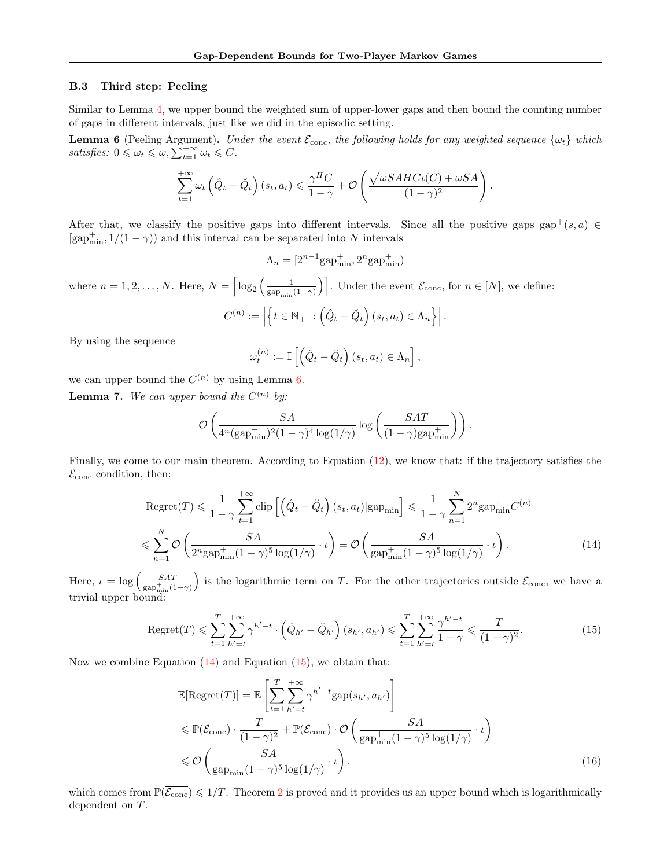#### <span id="page-13-0"></span>B.3 Third step: Peeling

Similar to Lemma [4,](#page-5-1) we upper bound the weighted sum of upper-lower gaps and then bound the counting number of gaps in different intervals, just like we did in the episodic setting.

<span id="page-13-1"></span>**Lemma 6** (Peeling Argument). Under the event  $\mathcal{E}_{conc}$ , the following holds for any weighted sequence  $\{\omega_t\}$  which satisfies:  $0 \leq \omega_t \leq \omega$ ,  $\sum_{t=1}^{+\infty} \omega_t \leq C$ .

$$
\sum_{t=1}^{+\infty} \omega_t \left( \hat{Q}_t - \check{Q}_t \right) (s_t, a_t) \leq \frac{\gamma^H C}{1 - \gamma} + \mathcal{O}\left( \frac{\sqrt{\omega SAHC \iota(C)} + \omega SA}{(1 - \gamma)^2} \right).
$$

After that, we classify the positive gaps into different intervals. Since all the positive gaps gap<sup>+</sup>(s, a)  $\in$  $[\mathrm{gap}^+_{\mathrm{min}}, 1/(1-\gamma))$  and this interval can be separated into  $N$  intervals

$$
\Lambda_n = [2^{n-1} \text{gap}_{\text{min}}^+, 2^n \text{gap}_{\text{min}}^+)
$$

where  $n = 1, 2, ..., N$ . Here,  $N = \lceil \log_2 \left( \frac{1}{\text{rank}} \right) \rceil$  $\left[\frac{1}{\text{gap}_{\min}^+(1-\gamma)}\right]$ . Under the event  $\mathcal{E}_{\text{conc}}$ , for  $n \in [N]$ , we define:

$$
C^{(n)} := \left| \left\{ t \in \mathbb{N}_+ \ : \left( \hat{Q}_t - \check{Q}_t \right) (s_t, a_t) \in \Lambda_n \right\} \right|.
$$

By using the sequence

$$
\omega_t^{(n)} := \mathbb{I}\left[\left(\hat{Q}_t - \breve{Q}_t\right)(s_t, a_t) \in \Lambda_n\right],
$$

<span id="page-13-4"></span>we can upper bound the  $C^{(n)}$  by using Lemma [6.](#page-13-1) **Lemma 7.** We can upper bound the  $C^{(n)}$  by:

$$
\mathcal{O}\left(\frac{SA}{4^n(\text{gap}_{\text{min}}^+)^2(1-\gamma)^4\log(1/\gamma)}\log\left(\frac{SAT}{(1-\gamma)\text{gap}_{\text{min}}^+}\right)\right)
$$

Finally, we come to our main theorem. According to Equation [\(12\)](#page-12-2), we know that: if the trajectory satisfies the  $\mathcal{E}_{\text{conc}}$  condition, then:

$$
\text{Regret}(T) \leq \frac{1}{1-\gamma} \sum_{t=1}^{+\infty} \text{clip} \left[ \left( \hat{Q}_t - \check{Q}_t \right) (s_t, a_t) | \text{gap}_{\text{min}}^+ \right] \leq \frac{1}{1-\gamma} \sum_{n=1}^N 2^n \text{gap}_{\text{min}}^+ C^{(n)} \leq \sum_{n=1}^N \mathcal{O} \left( \frac{SA}{2^n \text{gap}_{\text{min}}^+ (1-\gamma)^5 \log(1/\gamma)} \cdot \iota \right) = \mathcal{O} \left( \frac{SA}{\text{gap}_{\text{min}}^+ (1-\gamma)^5 \log(1/\gamma)} \cdot \iota \right). \tag{14}
$$

<span id="page-13-2"></span> $\big)$ .

Here,  $\iota = \log \left( \frac{SAT}{\cosh \left( 1 - \frac{F}{\cosh \left( 1 - \frac{F}{\cosh \left( 1 - \frac{F}{\cosh \left( 1 - \frac{F}{\cosh \left( 1 - \frac{F}{\cosh \left( 1 - \frac{F}{\cosh \left( 1 - \frac{F}{\cosh \left( 1 - \frac{F}{\cosh \left( 1 - \frac{F}{\cosh \left( 1 - \frac{F}{\cosh \left( 1 - \frac{F}{\cosh \left( 1 - \frac{F}{\cosh \left( 1 - \frac{F}{\cosh \left( 1 - \frac{F}{\cosh \$  $\overline{\text{gap}_{\text{min}}^+(1-\gamma)}$ is the logarithmic term on T. For the other trajectories outside  $\mathcal{E}_{\text{conc}}$ , we have a trivial upper bound:

<span id="page-13-3"></span>
$$
\text{Regret}(T) \leq \sum_{t=1}^{T} \sum_{h'=t}^{+\infty} \gamma^{h'-t} \cdot \left( \hat{Q}_{h'} - \check{Q}_{h'} \right) (s_{h'}, a_{h'}) \leq \sum_{t=1}^{T} \sum_{h'=t}^{+\infty} \frac{\gamma^{h'-t}}{1-\gamma} \leq \frac{T}{(1-\gamma)^2}.
$$
 (15)

Now we combine Equation  $(14)$  and Equation  $(15)$ , we obtain that:

$$
\mathbb{E}[\text{Regret}(T)] = \mathbb{E}\left[\sum_{t=1}^{T} \sum_{h'=t}^{+\infty} \gamma^{h'-t} \text{gap}(s_{h'}, a_{h'})\right]
$$
\n
$$
\leq \mathbb{P}(\overline{\mathcal{E}_{\text{conc}}}) \cdot \frac{T}{(1-\gamma)^2} + \mathbb{P}(\mathcal{E}_{\text{conc}}) \cdot \mathcal{O}\left(\frac{SA}{\text{gap}_{\min}^+(1-\gamma)^5 \log(1/\gamma)} \cdot \iota\right)
$$
\n
$$
\leq \mathcal{O}\left(\frac{SA}{\text{gap}_{\min}^+(1-\gamma)^5 \log(1/\gamma)} \cdot \iota\right).
$$
\n(16)

which comes from  $\mathbb{P}(\overline{\mathcal{E}_{\text{conc}}}) \leq 1/T$ . Theorem [2](#page-7-1) is proved and it provides us an upper bound which is logarithmically dependent on T.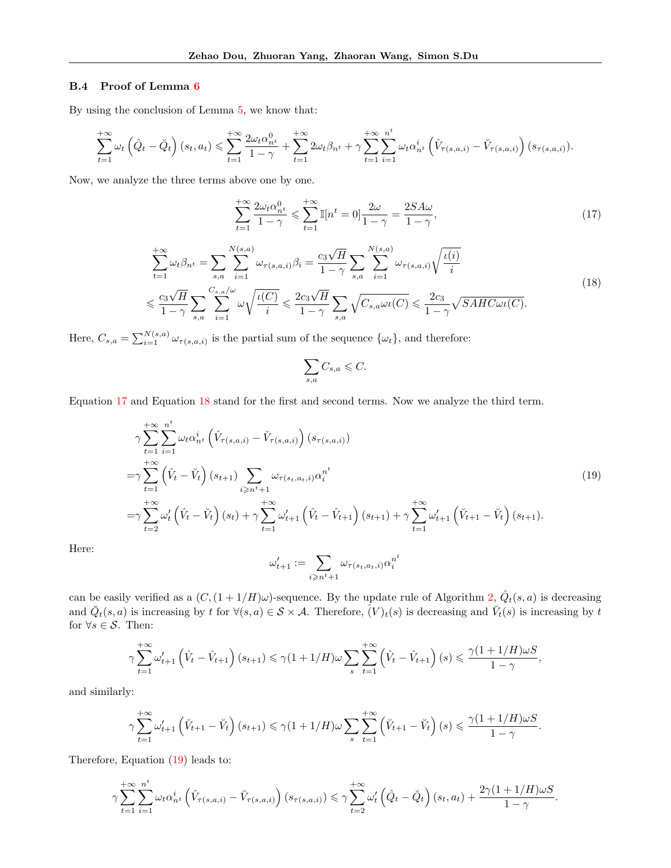### B.4 Proof of Lemma [6](#page-13-1)

By using the conclusion of Lemma [5,](#page-12-3) we know that:

$$
\sum_{t=1}^{+\infty} \omega_t \left( \hat{Q}_t - \check{Q}_t \right) (s_t, a_t) \leqslant \sum_{t=1}^{+\infty} \frac{2\omega_t \alpha_{n^t}^0}{1 - \gamma} + \sum_{t=1}^{+\infty} 2\omega_t \beta_{n^t} + \gamma \sum_{t=1}^{+\infty} \sum_{i=1}^{n^t} \omega_t \alpha_{n^t}^i \left( \hat{V}_{\tau(s,a,i)} - \check{V}_{\tau(s,a,i)} \right) (s_{\tau(s,a,i)}).
$$

Now, we analyze the three terms above one by one.

<span id="page-14-0"></span>
$$
\sum_{t=1}^{+\infty} \frac{2\omega_t \alpha_{n^t}^0}{1-\gamma} \leqslant \sum_{t=1}^{+\infty} \mathbb{I}[n^t = 0] \frac{2\omega}{1-\gamma} = \frac{2SA\omega}{1-\gamma},\tag{17}
$$

<span id="page-14-1"></span>
$$
\sum_{t=1}^{+\infty} \omega_t \beta_{n^t} = \sum_{s,a} \sum_{i=1}^{N(s,a)} \omega_{\tau(s,a,i)} \beta_i = \frac{c_3 \sqrt{H}}{1-\gamma} \sum_{s,a} \sum_{i=1}^{N(s,a)} \omega_{\tau(s,a,i)} \sqrt{\frac{\iota(i)}{i}}
$$
  

$$
\leq \frac{c_3 \sqrt{H}}{1-\gamma} \sum_{s,a} \sum_{i=1}^{C_{s,a}/\omega} \omega \sqrt{\frac{\iota(C)}{i}} \leq \frac{2c_3 \sqrt{H}}{1-\gamma} \sum_{s,a} \sqrt{C_{s,a} \omega \iota(C)} \leq \frac{2c_3}{1-\gamma} \sqrt{SAHC\omega \iota(C)}.
$$
 (18)

Here,  $C_{s,a} = \sum_{i=1}^{N(s,a)} \omega_{\tau(s,a,i)}$  is the partial sum of the sequence  $\{\omega_t\}$ , and therefore:

$$
\sum_{s,a} C_{s,a} \leqslant C.
$$

Equation [17](#page-14-0) and Equation [18](#page-14-1) stand for the first and second terms. Now we analyze the third term.

<span id="page-14-2"></span>
$$
\gamma \sum_{t=1}^{+\infty} \sum_{i=1}^{n^t} \omega_t \alpha_{n^t}^i \left( \hat{V}_{\tau(s,a,i)} - \check{V}_{\tau(s,a,i)} \right) (s_{\tau(s,a,i)})
$$
  
\n
$$
= \gamma \sum_{t=1}^{+\infty} \left( \hat{V}_t - \check{V}_t \right) (s_{t+1}) \sum_{i \ge n^t + 1} \omega_{\tau(s_t,a_t,i)} \alpha_i^{n^t}
$$
  
\n
$$
= \gamma \sum_{t=2}^{+\infty} \omega_t' \left( \hat{V}_t - \check{V}_t \right) (s_t) + \gamma \sum_{t=1}^{+\infty} \omega_{t+1}' \left( \hat{V}_t - \hat{V}_{t+1} \right) (s_{t+1}) + \gamma \sum_{t=1}^{+\infty} \omega_{t+1}' \left( \check{V}_{t+1} - \check{V}_t \right) (s_{t+1}).
$$
\n(19)

Here:

$$
\omega'_{t+1}:=\sum_{i\geqslant n^t+1}\omega_{\tau(s_t,a_t,i)}\alpha_i^{n^t}
$$

can be easily verified as a  $(C, (1+1/H)\omega)$ -sequence. By the update rule of Algorithm [2,](#page-6-0)  $\hat{Q}_t(s, a)$  is decreasing and  $\check{Q}_t(s, a)$  is increasing by t for  $\forall (s, a) \in S \times A$ . Therefore,  $(V)_t(s)$  is decreasing and  $\check{V}_t(s)$  is increasing by t for  $\forall s \in \mathcal{S}$ . Then:

$$
\gamma \sum_{t=1}^{+\infty} \omega'_{t+1} \left(\hat{V}_t - \hat{V}_{t+1}\right)(s_{t+1}) \leq \gamma (1+1/H)\omega \sum_{s} \sum_{t=1}^{+\infty} \left(\hat{V}_t - \hat{V}_{t+1}\right)(s) \leq \frac{\gamma (1+1/H)\omega S}{1-\gamma},
$$

and similarly:

$$
\gamma\sum_{t=1}^{+\infty}\omega'_{t+1}\left(\breve{V}_{t+1}-\breve{V}_{t}\right)(s_{t+1})\leqslant \gamma(1+1/H)\omega\sum_{s}\sum_{t=1}^{+\infty}\left(\breve{V}_{t+1}-\breve{V}_{t}\right)(s)\leqslant\frac{\gamma(1+1/H)\omega S}{1-\gamma}.
$$

Therefore, Equation [\(19\)](#page-14-2) leads to:

$$
\gamma \sum_{t=1}^{+\infty} \sum_{i=1}^{n^t} \omega_t \alpha_{n^t}^i \left( \hat{V}_{\tau(s,a,i)} - \check{V}_{\tau(s,a,i)} \right) \left( s_{\tau(s,a,i)} \right) \leq \gamma \sum_{t=2}^{+\infty} \omega_t' \left( \hat{Q}_t - \check{Q}_t \right) \left( s_t, a_t \right) + \frac{2\gamma (1+1/H)\omega S}{1-\gamma}.
$$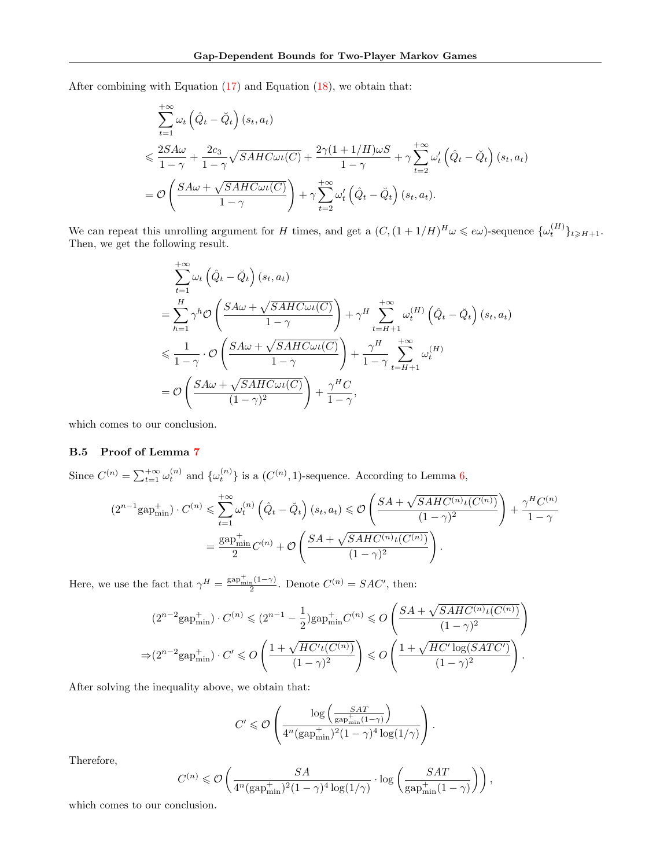After combining with Equation [\(17\)](#page-14-0) and Equation [\(18\)](#page-14-1), we obtain that:

$$
\sum_{t=1}^{+\infty} \omega_t \left( \hat{Q}_t - \check{Q}_t \right) (s_t, a_t)
$$
\n
$$
\leqslant \frac{2SA\omega}{1-\gamma} + \frac{2c_3}{1-\gamma} \sqrt{SAHC\omega \iota(C)} + \frac{2\gamma(1+1/H)\omega S}{1-\gamma} + \gamma \sum_{t=2}^{+\infty} \omega_t' \left( \hat{Q}_t - \check{Q}_t \right) (s_t, a_t)
$$
\n
$$
= \mathcal{O}\left(\frac{SA\omega + \sqrt{SAHC\omega \iota(C)}}{1-\gamma} \right) + \gamma \sum_{t=2}^{+\infty} \omega_t' \left( \hat{Q}_t - \check{Q}_t \right) (s_t, a_t).
$$

We can repeat this unrolling argument for H times, and get a  $(C, (1 + 1/H)^H \omega \leqslant e\omega)$ -sequence  $\{\omega_t^{(H)}\}_{t \geqslant H+1}$ . Then, we get the following result.

$$
\sum_{t=1}^{+\infty} \omega_t \left( \hat{Q}_t - \check{Q}_t \right) (s_t, a_t)
$$
\n
$$
= \sum_{h=1}^H \gamma^h \mathcal{O} \left( \frac{SA\omega + \sqrt{SAHC\omega \iota(C)}}{1 - \gamma} \right) + \gamma^H \sum_{t=H+1}^{+\infty} \omega_t^{(H)} \left( \hat{Q}_t - \check{Q}_t \right) (s_t, a_t)
$$
\n
$$
\leq \frac{1}{1 - \gamma} \cdot \mathcal{O} \left( \frac{SA\omega + \sqrt{SAHC\omega \iota(C)}}{1 - \gamma} \right) + \frac{\gamma^H}{1 - \gamma} \sum_{t=H+1}^{+\infty} \omega_t^{(H)}
$$
\n
$$
= \mathcal{O} \left( \frac{SA\omega + \sqrt{SAHC\omega \iota(C)}}{(1 - \gamma)^2} \right) + \frac{\gamma^H C}{1 - \gamma},
$$

which comes to our conclusion.

### B.5 Proof of Lemma [7](#page-13-4)

Since  $C^{(n)} = \sum_{t=1}^{+\infty} \omega_t^{(n)}$  and  $\{\omega_t^{(n)}\}$  is a  $(C^{(n)}, 1)$ -sequence. According to Lemma [6,](#page-13-1)

$$
(2^{n-1}\text{gap}_{\text{min}}^+) \cdot C^{(n)} \leq \sum_{t=1}^{+\infty} \omega_t^{(n)} \left(\hat{Q}_t - \breve{Q}_t\right) (s_t, a_t) \leq \mathcal{O}\left(\frac{SA + \sqrt{SAHC^{(n)}\iota(C^{(n)})}}{(1-\gamma)^2}\right) + \frac{\gamma^HC^{(n)}}{1-\gamma}
$$

$$
= \frac{\text{gap}_{\text{min}}^+}{2}C^{(n)} + \mathcal{O}\left(\frac{SA + \sqrt{SAHC^{(n)}\iota(C^{(n)})}}{(1-\gamma)^2}\right).
$$

Here, we use the fact that  $\gamma^H = \frac{\text{gap}_{\min}^+(1-\gamma)}{2}$ . Denote  $C^{(n)} = SAC'$ , then:

$$
(2^{n-2}\text{gap}_{\text{min}}^+) \cdot C^{(n)} \leqslant (2^{n-1} - \frac{1}{2})\text{gap}_{\text{min}}^+ C^{(n)} \leqslant O\left(\frac{SA + \sqrt{SAHC^{(n)}\iota(C^{(n)})}}{(1-\gamma)^2}\right)
$$

$$
\Rightarrow (2^{n-2}\text{gap}_{\text{min}}^+) \cdot C' \leqslant O\left(\frac{1 + \sqrt{HC'\iota(C^{(n)})}}{(1-\gamma)^2}\right) \leqslant O\left(\frac{1 + \sqrt{HC'\log(SATC')}}{(1-\gamma)^2}\right).
$$

After solving the inequality above, we obtain that:

$$
C' \leqslant \mathcal{O}\left(\frac{\log\left(\frac{SAT}{\text{gap}_{\min}^+(1-\gamma)}\right)}{4^n(\text{gap}_{\min}^+)^2(1-\gamma)^4\log(1/\gamma)}\right).
$$

Therefore,

$$
C^{(n)}\leqslant \mathcal{O}\left(\frac{SA}{4^n(\text{gap}^+_{\min})^2(1-\gamma)^4\log(1/\gamma)}\cdot \log\left(\frac{SAT}{\text{gap}^+_{\min}(1-\gamma)}\right)\right),
$$

which comes to our conclusion.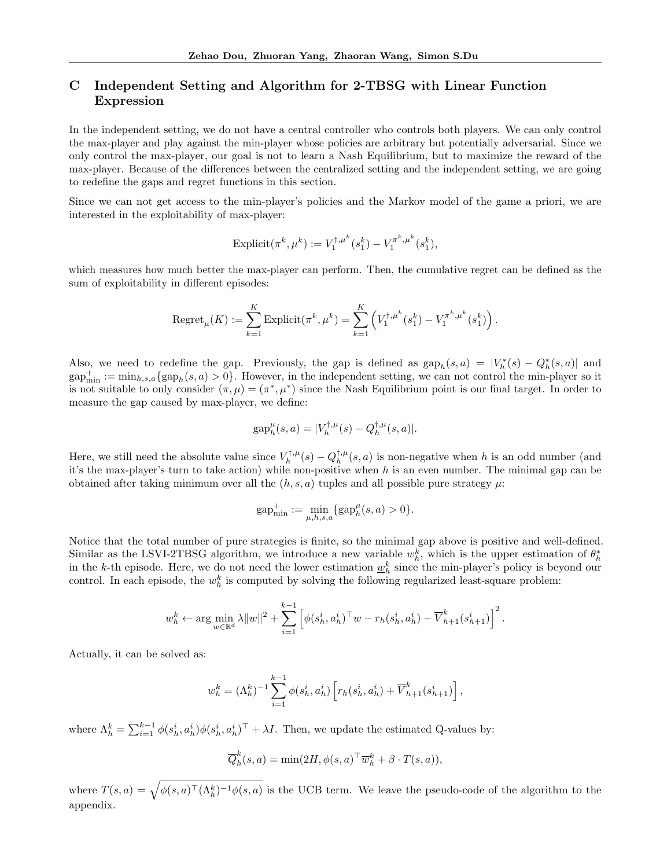## C Independent Setting and Algorithm for 2-TBSG with Linear Function Expression

In the independent setting, we do not have a central controller who controls both players. We can only control the max-player and play against the min-player whose policies are arbitrary but potentially adversarial. Since we only control the max-player, our goal is not to learn a Nash Equilibrium, but to maximize the reward of the max-player. Because of the differences between the centralized setting and the independent setting, we are going to redefine the gaps and regret functions in this section.

Since we can not get access to the min-player's policies and the Markov model of the game a priori, we are interested in the exploitability of max-player:

$$
\text{Explicit}(\pi^k, \mu^k) := V_1^{\dagger, \mu^k}(s_1^k) - V_1^{\pi^k, \mu^k}(s_1^k),
$$

which measures how much better the max-player can perform. Then, the cumulative regret can be defined as the sum of exploitability in different episodes:

Regret<sub>$$
\mu
$$</sub>(K) :=  $\sum_{k=1}^{K}$  Explicit $(\pi^{k}, \mu^{k})$  =  $\sum_{k=1}^{K}$  $(V_{1}^{\dagger, \mu^{k}}(s_{1}^{k}) - V_{1}^{\pi^{k}, \mu^{k}}(s_{1}^{k}))$ .

Also, we need to redefine the gap. Previously, the gap is defined as  $\text{gap}_h(s, a) = |V_h^*(s) - Q_h^*(s, a)|$  and  $\text{gap}_{\text{min}}^+ := \min_{h,s,a} \{ \text{gap}_h(s,a) > 0 \}.$  However, in the independent setting, we can not control the min-player so it is not suitable to only consider  $(\pi, \mu) = (\pi^*, \mu^*)$  since the Nash Equilibrium point is our final target. In order to measure the gap caused by max-player, we define:

$$
gap_h^{\mu}(s, a) = |V_h^{\dagger, \mu}(s) - Q_h^{\dagger, \mu}(s, a)|.
$$

Here, we still need the absolute value since  $V^{\dagger,\mu}_h(s) - Q^{\dagger,\mu}_h(s,a)$  is non-negative when h is an odd number (and it's the max-player's turn to take action) while non-positive when  $h$  is an even number. The minimal gap can be obtained after taking minimum over all the  $(h, s, a)$  tuples and all possible pure strategy  $\mu$ :

$$
gap^+_{\min} := \min_{\mu, h, s, a} \{ gap_h^{\mu}(s, a) > 0 \}.
$$

Notice that the total number of pure strategies is finite, so the minimal gap above is positive and well-defined. Similar as the LSVI-2TBSG algorithm, we introduce a new variable  $w_h^k$ , which is the upper estimation of  $\theta_h^*$ in the k-th episode. Here, we do not need the lower estimation  $\underline{w}_h^k$  since the min-player's policy is beyond our control. In each episode, the  $w_h^k$  is computed by solving the following regularized least-square problem:

$$
w_h^k \leftarrow \arg \min_{w \in \mathbb{R}^d} \lambda \|w\|^2 + \sum_{i=1}^{k-1} \left[ \phi(s_h^i, a_h^i)^\top w - r_h(s_h^i, a_h^i) - \overline{V}_{h+1}^k(s_{h+1}^i) \right]^2.
$$

Actually, it can be solved as:

$$
w_h^k = (\Lambda_h^k)^{-1} \sum_{i=1}^{k-1} \phi(s_h^i, a_h^i) \left[ r_h(s_h^i, a_h^i) + \overline{V}_{h+1}^k(s_{h+1}^i) \right],
$$

where  $\Lambda_h^k = \sum_{i=1}^{k-1} \phi(s_h^i, a_h^i) \phi(s_h^i, a_h^i)^\top + \lambda I$ . Then, we update the estimated Q-values by:

$$
\overline{Q}_h^k(s, a) = \min(2H, \phi(s, a)^\top \overline{w}_h^k + \beta \cdot T(s, a)),
$$

where  $T(s,a) = \sqrt{\phi(s,a)^{\top}(\Lambda_h^k)^{-1}\phi(s,a)}$  is the UCB term. We leave the pseudo-code of the algorithm to the appendix.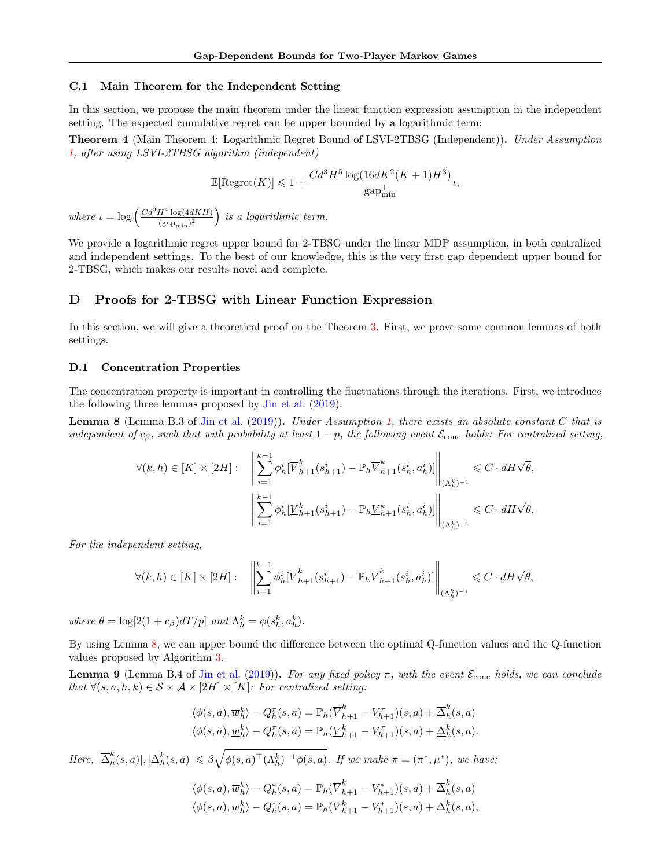#### C.1 Main Theorem for the Independent Setting

In this section, we propose the main theorem under the linear function expression assumption in the independent setting. The expected cumulative regret can be upper bounded by a logarithmic term:

Theorem 4 (Main Theorem 4: Logarithmic Regret Bound of LSVI-2TBSG (Independent)). Under Assumption [1,](#page-7-0) after using LSVI-2TBSG algorithm (independent)

$$
\mathbb{E}[\text{Regret}(K)] \leq 1 + \frac{Cd^3H^5\log(16dK^2(K+1)H^3)}{\text{gap}_{\text{min}}^+}\iota,
$$

where  $\iota = \log \left( \frac{Cd^3H^4 \log(4dKH)}{( \text{gap}_{\text{min}}^+)^2} \right)$  is a logarithmic term.

We provide a logarithmic regret upper bound for 2-TBSG under the linear MDP assumption, in both centralized and independent settings. To the best of our knowledge, this is the very first gap dependent upper bound for 2-TBSG, which makes our results novel and complete.

## D Proofs for 2-TBSG with Linear Function Expression

In this section, we will give a theoretical proof on the Theorem [3.](#page-8-9) First, we prove some common lemmas of both settings.

#### D.1 Concentration Properties

The concentration property is important in controlling the fluctuations through the iterations. First, we introduce the following three lemmas proposed by [Jin et al.](#page-9-9) [\(2019\)](#page-9-9).

<span id="page-17-0"></span>**Lemma 8** (Lemma B.3 of [Jin et al.](#page-9-9) [\(2019\)](#page-9-9)). Under Assumption [1,](#page-7-0) there exists an absolute constant C that is independent of  $c_\beta$ , such that with probability at least  $1-p$ , the following event  $\mathcal{E}_{cone}$  holds: For centralized setting,

$$
\forall (k, h) \in [K] \times [2H]: \quad \left\| \sum_{i=1}^{k-1} \phi_h^i [\overline{V}_{h+1}^k(s_{h+1}^i) - \mathbb{P}_h \overline{V}_{h+1}^k(s_h^i, a_h^i)] \right\|_{(\Lambda_h^k)^{-1}} \leq C \cdot dH \sqrt{\theta},
$$

$$
\left\| \sum_{i=1}^{k-1} \phi_h^i [\underline{V}_{h+1}^k(s_{h+1}^i) - \mathbb{P}_h \underline{V}_{h+1}^k(s_h^i, a_h^i)] \right\|_{(\Lambda_h^k)^{-1}} \leq C \cdot dH \sqrt{\theta},
$$

For the independent setting,

$$
\forall (k,h) \in [K] \times [2H]: \quad \left\| \sum_{i=1}^{k-1} \phi_h^i [\overline{V}_{h+1}^k(s_{h+1}^i) - \mathbb{P}_h \overline{V}_{h+1}^k(s_h^i, a_h^i)] \right\|_{(\Lambda_h^k)^{-1}} \leqslant C \cdot dH \sqrt{\theta},
$$

where  $\theta = \log[2(1+c_{\beta})dT/p]$  and  $\Lambda_h^k = \phi(s_h^k, a_h^k)$ .

By using Lemma [8,](#page-17-0) we can upper bound the difference between the optimal Q-function values and the Q-function values proposed by Algorithm [3.](#page-23-0)

<span id="page-17-1"></span>**Lemma 9** (Lemma B.4 of [Jin et al.](#page-9-9) [\(2019\)](#page-9-9)). For any fixed policy  $\pi$ , with the event  $\mathcal{E}_{\text{conc}}$  holds, we can conclude that  $\forall (s, a, h, k) \in S \times A \times [2H] \times [K]$ : For centralized setting:

$$
\langle \phi(s, a), \overline{w}_h^k \rangle - Q_h^{\pi}(s, a) = \mathbb{P}_h(\overline{V}_{h+1}^k - V_{h+1}^{\pi})(s, a) + \overline{\Delta}_h^k(s, a)
$$
  

$$
\langle \phi(s, a), \underline{w}_h^k \rangle - Q_h^{\pi}(s, a) = \mathbb{P}_h(\underline{V}_{h+1}^k - V_{h+1}^{\pi})(s, a) + \underline{\Delta}_h^k(s, a).
$$

Here,  $|\overline{\Delta}_h^k|$  $\big|\phi_h^k(s,a)|,|\Delta_h^k(s,a)|\leqslant \beta \sqrt{\phi(s,a)^\top (\Lambda_h^k)^{-1}\phi(s,a)}$ . If we make  $\pi=(\pi^*,\mu^*)$ , we have:

$$
\langle \phi(s,a), \overline{w}_h^k \rangle - Q_h^*(s,a) = \mathbb{P}_h(\overline{V}_{h+1}^k - V_{h+1}^*)(s,a) + \overline{\Delta}_h^k(s,a)
$$
  

$$
\langle \phi(s,a), \underline{w}_h^k \rangle - Q_h^*(s,a) = \mathbb{P}_h(\underline{V}_{h+1}^k - V_{h+1}^*)(s,a) + \underline{\Delta}_h^k(s,a),
$$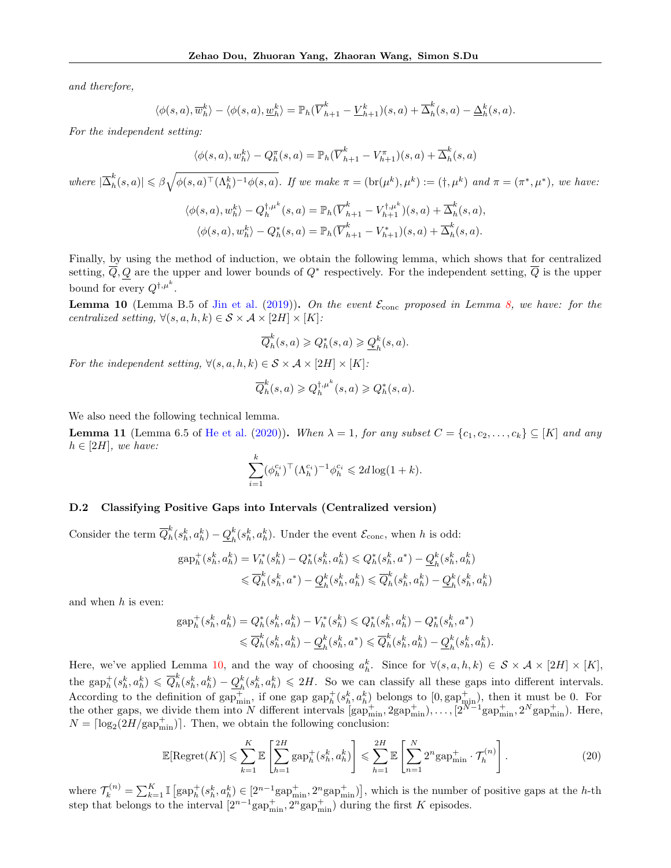and therefore,

$$
\langle \phi(s,a), \overline{w}_h^k \rangle - \langle \phi(s,a), \underline{w}_h^k \rangle = \mathbb{P}_h(\overline{V}_{h+1}^k - \underline{V}_{h+1}^k)(s,a) + \overline{\Delta}_h^k(s,a) - \underline{\Delta}_h^k(s,a).
$$

For the independent setting:

$$
\langle \phi(s, a), w_h^k \rangle - Q_h^{\pi}(s, a) = \mathbb{P}_h(\overline{V}_{h+1}^k - V_{h+1}^{\pi})(s, a) + \overline{\Delta}_h^k(s, a)
$$

where  $|\overline{\Delta}_h^k|$  $\big\vert h^k_{h}(s,a) \big\vert \leqslant \beta \sqrt{ \phi(s,a)^\top (\Lambda^k_{h})^{-1} \phi(s,a) }.$  If we make  $\pi = (\text{br}(\mu^k),\mu^k) := (\dagger, \mu^k)$  and  $\pi = (\pi^*, \mu^*),$  we have:

$$
\langle \phi(s,a), w_h^k \rangle - Q_h^{\dagger,\mu^k}(s,a) = \mathbb{P}_h(\overline{V}_{h+1}^k - V_{h+1}^{\dagger,\mu^k})(s,a) + \overline{\Delta}_h^k(s,a),
$$
  

$$
\langle \phi(s,a), w_h^k \rangle - Q_h^*(s,a) = \mathbb{P}_h(\overline{V}_{h+1}^k - V_{h+1}^*)(s,a) + \overline{\Delta}_h^k(s,a).
$$

Finally, by using the method of induction, we obtain the following lemma, which shows that for centralized setting,  $\overline{Q}$ , Q are the upper and lower bounds of  $Q^*$  respectively. For the independent setting,  $\overline{Q}$  is the upper bound for every  $Q^{\dagger,\mu^k}$ .

<span id="page-18-0"></span>**Lemma 10** (Lemma B.5 of [Jin et al.](#page-9-9) [\(2019\)](#page-9-9)). On the event  $\mathcal{E}_{\text{conc}}$  proposed in Lemma [8,](#page-17-0) we have: for the centralized setting,  $\forall (s, a, h, k) \in S \times A \times [2H] \times [K]$ :

$$
\overline{Q}_h^k(s, a) \geqslant Q_h^*(s, a) \geqslant \underline{Q}_h^k(s, a).
$$

For the independent setting,  $\forall (s, a, h, k) \in S \times A \times [2H] \times [K]$ :

$$
\overline{Q}_h^k(s, a) \geq Q_h^{\dagger, \mu^k}(s, a) \geq Q_h^*(s, a).
$$

We also need the following technical lemma.

<span id="page-18-2"></span>**Lemma 11** (Lemma 6.5 of [He et al.](#page-9-7) [\(2020\)](#page-9-7)). When  $\lambda = 1$ , for any subset  $C = \{c_1, c_2, \ldots, c_k\} \subseteq [K]$  and any  $h \in [2H]$ , we have:

$$
\sum_{i=1}^{k} (\phi_h^{c_i})^{\top} (\Lambda_h^{c_i})^{-1} \phi_h^{c_i} \leq 2d \log(1+k).
$$

#### D.2 Classifying Positive Gaps into Intervals (Centralized version)

Consider the term  $\overline{Q}_h^k$  $\frac{k}{h}(s_h^k,a_h^k)-\underline{Q}_h^k$  ${}_{h}^{k}(s_{h}^{k}, a_{h}^{k})$ . Under the event  $\mathcal{E}_{\text{conc}}$ , when h is odd:

$$
\begin{aligned} \text{gap}^+_h(s_h^k,a_h^k) &= V^*_h(s_h^k) - Q^*_h(s_h^k,a_h^k) \leqslant Q^*_h(s_h^k,a^*) - \underline{Q}_h^k(s_h^k,a_h^k) \\ & \leqslant \overline{Q}_h^k(s_h^k,a^*) - \underline{Q}_h^k(s_h^k,a_h^k) \leqslant \overline{Q}_h^k(s_h^k,a_h^k) - \underline{Q}_h^k(s_h^k,a_h^k) \end{aligned}
$$

and when h is even:

$$
\begin{split} \text{gap}^+_h(s^k_h,a^k_h) = Q^*_h(s^k_h,a^k_h) - V^*_h(s^k_h) \leqslant Q^*_h(s^k_h,a^k_h) - Q^*_h(s^k_h,a^*) \\ \leqslant \overline{Q}^k_h(s^k_h,a^k_h) - \underline{Q}^k_h(s^k_h,a^*) \leqslant \overline{Q}^k_h(s^k_h,a^k_h) - \underline{Q}^k_h(s^k_h,a^k_h). \end{split}
$$

Here, we've applied Lemma [10,](#page-18-0) and the way of choosing  $a_h^k$ . Since for  $\forall (s, a, h, k) \in S \times A \times [2H] \times [K]$ , the gap<sup>+</sup> $(s_h^k, a_h^k) \leq \overline{Q}_h^k$  $h_h^k(s_h^k, a_h^k) - Q_h^k(s_h^k, a_h^k) \le 2H$ . So we can classify all these gaps into different intervals.  $\frac{\partial}{\partial \alpha} h^{(b)}(b, b, a_h) \leq \frac{\partial}{\partial h^{(b)}} h^{(b)}, a_h$   $\leq$  211. So we can easily an energy suppose the definition of  $\frac{\partial}{\partial p_{\text{min}}^+}$ , if one gap  $\frac{\partial}{\partial p_h^+}(s_h^k, a_h^k)$  belongs to  $[0, \frac{\partial}{\partial p_{\text{min}}^+}]$ , then it must be 0 the other gaps, we divide them into N different intervals  $\left[\text{gap}^+_{\text{min}}, 2\text{gap}^+_{\text{min}}\right), \ldots, \left[2^{N-1}\text{gap}^+_{\text{min}}\right], 2^N\text{gap}^+_{\text{min}}\right)$ . Here,  $N = \lceil \log_2(2H/\text{gap}_{\text{min}}^+) \rceil$ . Then, we obtain the following conclusion:

<span id="page-18-1"></span>
$$
\mathbb{E}[\text{Regret}(K)] \leqslant \sum_{k=1}^{K} \mathbb{E}\left[\sum_{h=1}^{2H} \text{gap}_h^+(s_h^k, a_h^k)\right] \leqslant \sum_{h=1}^{2H} \mathbb{E}\left[\sum_{n=1}^{N} 2^n \text{gap}_{\text{min}}^+ \cdot \mathcal{T}_h^{(n)}\right].\tag{20}
$$

where  $\mathcal{T}_k^{(n)} = \sum_{k=1}^K \mathbb{I}\left[\text{gap}_h^+(s_h^k, a_h^k) \in [2^{n-1}\text{gap}_{\text{min}}^+, 2^n\text{gap}_{\text{min}}^-\right],$  which is the number of positive gaps at the h-th step that belongs to the interval  $[2^{n-1}$ gap $_{\text{min}}^+$ ,  $2^n$ gap $_{\text{min}}^+$ ) during the first K episodes.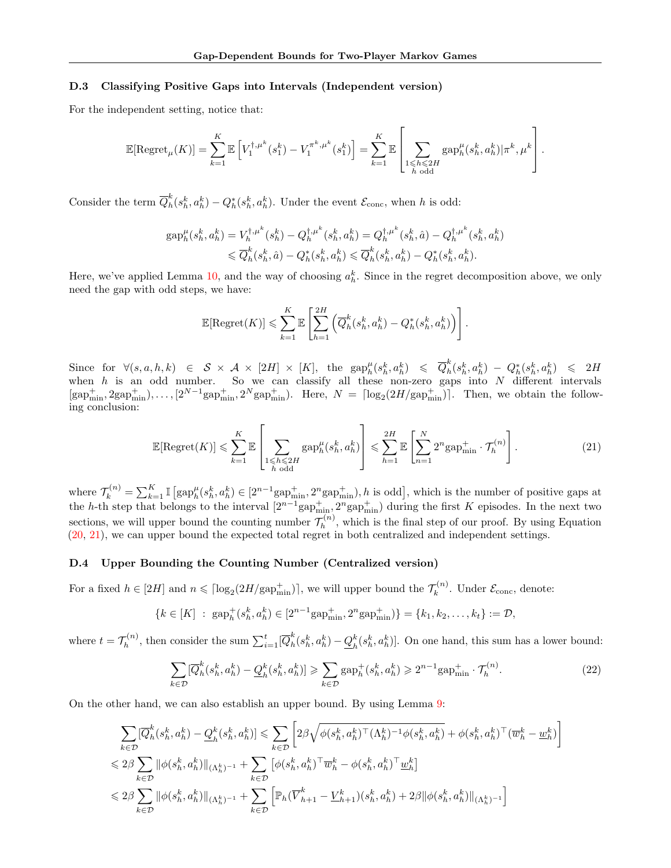## D.3 Classifying Positive Gaps into Intervals (Independent version)

For the independent setting, notice that:

$$
\mathbb{E}[\mathrm{Regret}_{\mu}(K)] = \sum_{k=1}^{K} \mathbb{E}\left[V_1^{\dagger,\mu^k}(s_1^k) - V_1^{\pi^k,\mu^k}(s_1^k)\right] = \sum_{k=1}^{K} \mathbb{E}\left[\sum_{\substack{1 \leq h \leq 2H \\ h \text{ odd}}} \mathrm{gap}_{h}^{\mu}(s_h^k, a_h^k)|\pi^k, \mu^k\right].
$$

Consider the term  $\overline{Q}_h^k$  $h_k^k(s_h^k, a_h^k) - Q_h^*(s_h^k, a_h^k)$ . Under the event  $\mathcal{E}_{\text{conc}}$ , when h is odd:

$$
gap_h^{\mu}(s_h^k, a_h^k) = V_h^{\dagger,\mu^k}(s_h^k) - Q_h^{\dagger,\mu^k}(s_h^k, a_h^k) = Q_h^{\dagger,\mu^k}(s_h^k, \hat{a}) - Q_h^{\dagger,\mu^k}(s_h^k, a_h^k)
$$
  

$$
\leq \overline{Q}_h^k(s_h^k, \hat{a}) - Q_h^*(s_h^k, a_h^k) \leq \overline{Q}_h^k(s_h^k, a_h^k) - Q_h^*(s_h^k, a_h^k).
$$

Here, we've applied Lemma [10,](#page-18-0) and the way of choosing  $a_h^k$ . Since in the regret decomposition above, we only need the gap with odd steps, we have:

$$
\mathbb{E}[\text{Regret}(K)] \leqslant \sum_{k=1}^{K} \mathbb{E}\left[\sum_{h=1}^{2H} \left(\overline{Q}_h^k(s_h^k, a_h^k) - Q_h^*(s_h^k, a_h^k)\right)\right].
$$

Since for  $\forall (s, a, h, k) \in S \times A \times [2H] \times [K]$ , the  $\text{gap}_h^{\mu}(s_h^k, a_h^k) \leq \overline{Q}_h^k$  $\hat{h}_{h}^{k}(s_{h}^{k},a_{h}^{k}) - Q_{h}^{*}(s_{h}^{k},a_{h}^{k}) \le 2H$ when h is an odd number. So we can classify all these non-zero gaps into  $N$  different intervals  $[\text{gap}_{\text{min}}^+, 2\text{gap}_{\text{min}}^+, \dots, [2^{N-1}\text{gap}_{\text{min}}^+, 2^N\text{gap}_{\text{min}}^+]$ . Here,  $N = \lceil \log_2(2H/\text{gap}_{\text{min}}^+) \rceil$ . Then, we obtain the following conclusion:

<span id="page-19-0"></span>
$$
\mathbb{E}[\text{Regret}(K)] \leqslant \sum_{k=1}^{K} \mathbb{E} \left[ \sum_{\substack{1 \leqslant h \leqslant 2H \\ h \text{ odd}}} \text{gap}_{h}^{\mu}(s_{h}^{k}, a_{h}^{k}) \right] \leqslant \sum_{h=1}^{2H} \mathbb{E} \left[ \sum_{n=1}^{N} 2^{n} \text{gap}_{\text{min}}^{+} \cdot \mathcal{T}_{h}^{(n)} \right]. \tag{21}
$$

where  $\mathcal{T}_k^{(n)} = \sum_{k=1}^K \mathbb{I}\left[\text{gap}_h^{\mu}(s_k^k, a_k^k) \in [2^{n-1}\text{gap}_{\text{min}}^+, 2^n\text{gap}_{\text{min}}^+), h \text{ is odd}\right]$ , which is the number of positive gaps at the h-th step that belongs to the interval  $[2^{n-1}$ gap $_{\min}^+$ ,  $2^n$ gap $_{\min}^+$ ) during the first K episodes. In the next two sections, we will upper bound the counting number  $\mathcal{T}_h^{(n)}$  $h^{(n)}$ , which is the final step of our proof. By using Equation [\(20,](#page-18-1) [21\)](#page-19-0), we can upper bound the expected total regret in both centralized and independent settings.

## D.4 Upper Bounding the Counting Number (Centralized version)

For a fixed  $h \in [2H]$  and  $n \leq \lceil \log_2(2H/\text{gap}_{\text{min}}^+) \rceil$ , we will upper bound the  $\mathcal{T}_k^{(n)}$  $\mathcal{E}_k^{(n)}$ . Under  $\mathcal{E}_{\text{conc}}$ , denote:

$$
\{k \in [K] : \operatorname{gap}_h^+(s_h^k, a_h^k) \in [2^{n-1}\operatorname{gap}_{\min}^+, 2^n \operatorname{gap}_{\min}^+) \} = \{k_1, k_2, \dots, k_t\} := \mathcal{D},
$$

where  $t = \mathcal{T}_h^{(n)}$  $b_h^{(n)}$ , then consider the sum  $\sum_{i=1}^t [\overline{Q}_h^k]$  $\frac{k}{h}(s_h^k,a_h^k)-\underline{Q}_h^k$  $\binom{k}{h}(s_h^k, a_h^k)$ . On one hand, this sum has a lower bound:

<span id="page-19-1"></span>
$$
\sum_{k\in\mathcal{D}}[\overline{Q}_h^k(s_h^k, a_h^k) - \underline{Q}_h^k(s_h^k, a_h^k)] \ge \sum_{k\in\mathcal{D}}\operatorname{gap}_h^+(s_h^k, a_h^k) \ge 2^{n-1}\operatorname{gap}_{\min}^+ \cdot \mathcal{T}_h^{(n)}.
$$
 (22)

On the other hand, we can also establish an upper bound. By using Lemma [9:](#page-17-1)

$$
\sum_{k\in\mathcal{D}}[\overline{Q}_{h}^{k}(s_{h}^{k},a_{h}^{k})-\underline{Q}_{h}^{k}(s_{h}^{k},a_{h}^{k})] \leq \sum_{k\in\mathcal{D}}\left[2\beta\sqrt{\phi(s_{h}^{k},a_{h}^{k})^{\top}(\Lambda_{h}^{k})^{-1}\phi(s_{h}^{k},a_{h}^{k})}+\phi(s_{h}^{k},a_{h}^{k})^{\top}(\overline{w}_{h}^{k}-\underline{w}_{h}^{k})\right] \leq 2\beta \sum_{k\in\mathcal{D}}\|\phi(s_{h}^{k},a_{h}^{k})\|_{(\Lambda_{h}^{k})^{-1}} + \sum_{k\in\mathcal{D}}\left[\phi(s_{h}^{k},a_{h}^{k})^{\top}\overline{w}_{h}^{k}-\phi(s_{h}^{k},a_{h}^{k})^{\top}\underline{w}_{h}^{k}\right] \leq 2\beta \sum_{k\in\mathcal{D}}\|\phi(s_{h}^{k},a_{h}^{k})\|_{(\Lambda_{h}^{k})^{-1}} + \sum_{k\in\mathcal{D}}\left[\mathbb{P}_{h}(\overline{V}_{h+1}^{k}-\underline{V}_{h+1}^{k})(s_{h}^{k},a_{h}^{k})+2\beta\|\phi(s_{h}^{k},a_{h}^{k})\|_{(\Lambda_{h}^{k})^{-1}}\right]
$$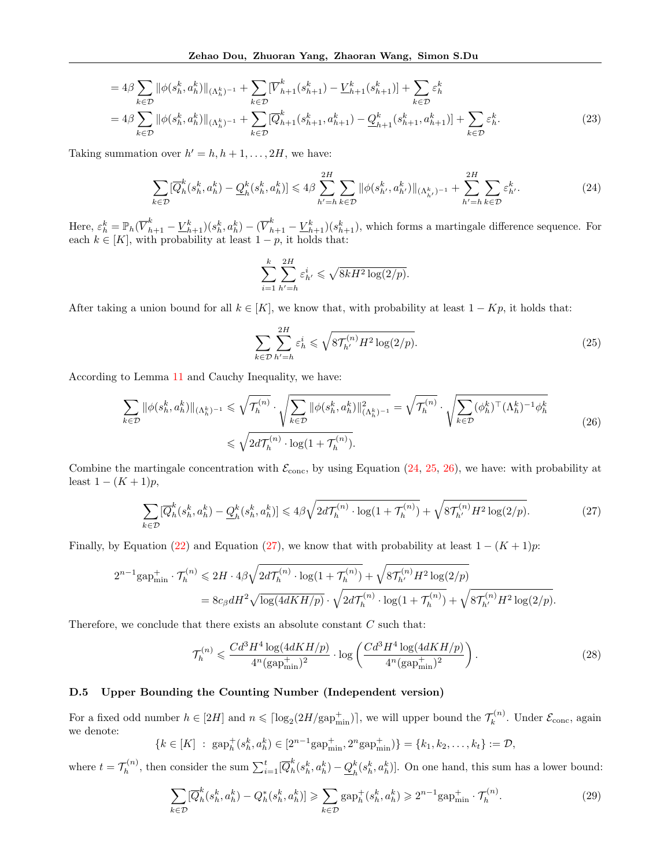$$
= 4\beta \sum_{k \in \mathcal{D}} \|\phi(s_h^k, a_h^k)\|_{(\Lambda_h^k)^{-1}} + \sum_{k \in \mathcal{D}} [\overline{V}_{h+1}^k(s_{h+1}^k) - \underline{V}_{h+1}^k(s_{h+1}^k)] + \sum_{k \in \mathcal{D}} \varepsilon_h^k
$$
  

$$
= 4\beta \sum_{k \in \mathcal{D}} \|\phi(s_h^k, a_h^k)\|_{(\Lambda_h^k)^{-1}} + \sum_{k \in \mathcal{D}} [\overline{Q}_{h+1}^k(s_{h+1}^k, a_{h+1}^k) - \underline{Q}_{h+1}^k(s_{h+1}^k, a_{h+1}^k)] + \sum_{k \in \mathcal{D}} \varepsilon_h^k.
$$
 (23)

Taking summation over  $h' = h, h + 1, \ldots, 2H$ , we have:

<span id="page-20-0"></span>
$$
\sum_{k \in \mathcal{D}} [\overline{Q}_{h}^{k}(s_{h}^{k}, a_{h}^{k}) - \underline{Q}_{h}^{k}(s_{h}^{k}, a_{h}^{k})] \leq 4\beta \sum_{h'=h}^{2H} \sum_{k \in \mathcal{D}} \|\phi(s_{h'}^{k}, a_{h'}^{k})\|_{(\Lambda_{h'}^{k})^{-1}} + \sum_{h'=h}^{2H} \sum_{k \in \mathcal{D}} \varepsilon_{h'}^{k}.
$$
 (24)

Here,  $\varepsilon_h^k = \mathbb{P}_h(\overline{V}_{h+1}^k - \underline{V}_{h+1}^k)(s_h^k, a_h^k) - (\overline{V}_{h+1}^k - \underline{V}_{h+1}^k)(s_{h+1}^k)$ , which forms a martingale difference sequence. For each  $k \in [K]$ , with probability at least  $1 - p$ , it holds that:

$$
\sum_{i=1}^k \sum_{h'=h}^{2H} \varepsilon_{h'}^i \leqslant \sqrt{8kH^2 \log(2/p)}.
$$

After taking a union bound for all  $k \in [K]$ , we know that, with probability at least  $1 - Kp$ , it holds that:

<span id="page-20-1"></span>
$$
\sum_{k \in \mathcal{D}} \sum_{h'=h}^{2H} \varepsilon_h^i \leqslant \sqrt{8\mathcal{T}_{h'}^{(n)} H^2 \log(2/p)}.
$$
\n
$$
(25)
$$

According to Lemma [11](#page-18-2) and Cauchy Inequality, we have:

<span id="page-20-2"></span>
$$
\sum_{k \in \mathcal{D}} \|\phi(s_h^k, a_h^k)\|_{(\Lambda_h^k)^{-1}} \leq \sqrt{\mathcal{T}_h^{(n)}} \cdot \sqrt{\sum_{k \in \mathcal{D}} \|\phi(s_h^k, a_h^k)\|_{(\Lambda_h^k)^{-1}}^2} = \sqrt{\mathcal{T}_h^{(n)}} \cdot \sqrt{\sum_{k \in \mathcal{D}} (\phi_h^k)^\top (\Lambda_h^k)^{-1} \phi_h^k}
$$
\n
$$
\leq \sqrt{2d\mathcal{T}_h^{(n)}} \cdot \log(1 + \mathcal{T}_h^{(n)}).
$$
\n(26)

Combine the martingale concentration with  $\mathcal{E}_{\text{conc}}$ , by using Equation [\(24,](#page-20-0) [25,](#page-20-1) [26\)](#page-20-2), we have: with probability at least  $1 - (K + 1)p$ ,

<span id="page-20-3"></span>
$$
\sum_{k \in \mathcal{D}} [\overline{Q}_h^k(s_h^k, a_h^k) - \underline{Q}_h^k(s_h^k, a_h^k)] \le 4\beta \sqrt{2d\mathcal{T}_h^{(n)} \cdot \log(1 + \mathcal{T}_h^{(n)})} + \sqrt{8\mathcal{T}_{h'}^{(n)}H^2\log(2/p)}.
$$
 (27)

Finally, by Equation [\(22\)](#page-19-1) and Equation [\(27\)](#page-20-3), we know that with probability at least  $1 - (K + 1)p$ :

$$
2^{n-1} \text{gap}_{\text{min}}^+ \cdot \mathcal{T}_h^{(n)} \leq 2H \cdot 4\beta \sqrt{2d\mathcal{T}_h^{(n)} \cdot \log(1 + \mathcal{T}_h^{(n)})} + \sqrt{8\mathcal{T}_{h'}^{(n)}H^2\log(2/p)}
$$
  
=  $8c_\beta dH^2 \sqrt{\log(4dKH/p)} \cdot \sqrt{2d\mathcal{T}_h^{(n)} \cdot \log(1 + \mathcal{T}_h^{(n)})} + \sqrt{8\mathcal{T}_{h'}^{(n)}H^2\log(2/p)}.$ 

Therefore, we conclude that there exists an absolute constant  $C$  such that:

<span id="page-20-4"></span>
$$
\mathcal{T}_h^{(n)} \leqslant \frac{Cd^3H^4\log(4dKH/p)}{4^n(\text{gap}_{\text{min}}^+)^2} \cdot \log\left(\frac{Cd^3H^4\log(4dKH/p)}{4^n(\text{gap}_{\text{min}}^+)^2}\right). \tag{28}
$$

## D.5 Upper Bounding the Counting Number (Independent version)

For a fixed odd number  $h \in [2H]$  and  $n \leq \lceil \log_2(2H/\text{gap}_{\text{min}}^+) \rceil$ , we will upper bound the  $\mathcal{T}_k^{(n)}$  $\mathcal{E}_k^{(n)}$ . Under  $\mathcal{E}_{\text{conc}}$ , again we denote:

$$
\{k \in [K] : \operatorname{gap}_h^+(s_h^k, a_h^k) \in [2^{n-1}\operatorname{gap}_{\min}^+, 2^n \operatorname{gap}_{\min}^+) \} = \{k_1, k_2, \dots, k_t\} := \mathcal{D},
$$

where  $t = \mathcal{T}_h^{(n)}$  $b_h^{(n)}$ , then consider the sum  $\sum_{i=1}^t [\overline{Q}_h^k]$  $\frac{k}{h}(s_h^k,a_h^k)-\underline{Q}_h^k$  $\binom{k}{h}(s_h^k, a_h^k)$ . On one hand, this sum has a lower bound:

$$
\sum_{k \in \mathcal{D}} [\overline{Q}_h^k(s_h^k, a_h^k) - Q_h^*(s_h^k, a_h^k)] \ge \sum_{k \in \mathcal{D}} \text{gap}_h^+(s_h^k, a_h^k) \ge 2^{n-1} \text{gap}_{\text{min}}^+ \cdot \mathcal{T}_h^{(n)}.
$$
 (29)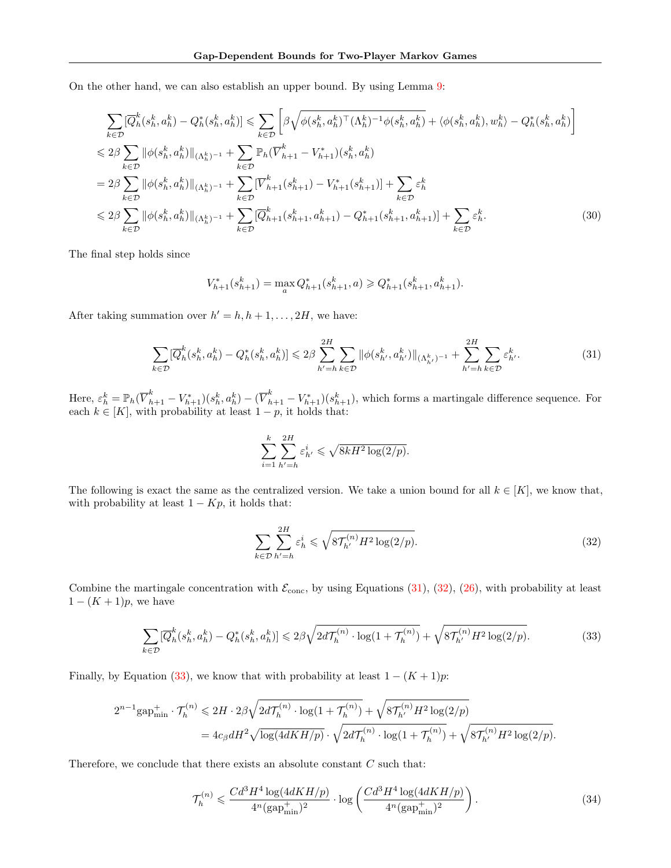On the other hand, we can also establish an upper bound. By using Lemma [9:](#page-17-1)

$$
\sum_{k \in \mathcal{D}} [\overline{Q}_{h}^{k}(s_{h}^{k}, a_{h}^{k}) - Q_{h}^{*}(s_{h}^{k}, a_{h}^{k})] \leq \sum_{k \in \mathcal{D}} \left[ \beta \sqrt{\phi(s_{h}^{k}, a_{h}^{k})^{\top} (\Lambda_{h}^{k})^{-1} \phi(s_{h}^{k}, a_{h}^{k})} + \langle \phi(s_{h}^{k}, a_{h}^{k}), w_{h}^{k} \rangle - Q_{h}^{*}(s_{h}^{k}, a_{h}^{k}) \right]
$$
  
\n
$$
\leq 2\beta \sum_{k \in \mathcal{D}} ||\phi(s_{h}^{k}, a_{h}^{k})||_{(\Lambda_{h}^{k})^{-1}} + \sum_{k \in \mathcal{D}} \mathbb{P}_{h} (\overline{V}_{h+1}^{k} - V_{h+1}^{*})(s_{h}^{k}, a_{h}^{k})
$$
  
\n
$$
= 2\beta \sum_{k \in \mathcal{D}} ||\phi(s_{h}^{k}, a_{h}^{k})||_{(\Lambda_{h}^{k})^{-1}} + \sum_{k \in \mathcal{D}} [\overline{V}_{h+1}^{k}(s_{h+1}^{k}) - V_{h+1}^{*}(s_{h+1}^{k})] + \sum_{k \in \mathcal{D}} \varepsilon_{h}^{k}
$$
  
\n
$$
\leq 2\beta \sum_{k \in \mathcal{D}} ||\phi(s_{h}^{k}, a_{h}^{k})||_{(\Lambda_{h}^{k})^{-1}} + \sum_{k \in \mathcal{D}} [\overline{Q}_{h+1}^{k}(s_{h+1}^{k}, a_{h+1}^{k}) - Q_{h+1}^{*}(s_{h+1}^{k}, a_{h+1}^{k})] + \sum_{k \in \mathcal{D}} \varepsilon_{h}^{k}.
$$
 (30)

The final step holds since

$$
V_{h+1}^*(s_{h+1}^k) = \max_a Q_{h+1}^*(s_{h+1}^k, a) \geqslant Q_{h+1}^*(s_{h+1}^k, a_{h+1}^k).
$$

After taking summation over  $h' = h, h + 1, \ldots, 2H$ , we have:

<span id="page-21-0"></span>
$$
\sum_{k \in \mathcal{D}} [\overline{Q}_{h}^{k}(s_{h}^{k}, a_{h}^{k}) - Q_{h}^{*}(s_{h}^{k}, a_{h}^{k})] \leq 2\beta \sum_{h'=h}^{2H} \sum_{k \in \mathcal{D}} \|\phi(s_{h'}^{k}, a_{h'}^{k})\|_{(\Lambda_{h'}^{k})^{-1}} + \sum_{h'=h}^{2H} \sum_{k \in \mathcal{D}} \varepsilon_{h'}^{k}.
$$
 (31)

Here,  $\varepsilon_h^k = \mathbb{P}_h(\overline{V}_{h+1}^k - V_{h+1}^*)(s_h^k, a_h^k) - (\overline{V}_{h+1}^k - V_{h+1}^*)(s_{h+1}^k)$ , which forms a martingale difference sequence. For each  $k \in [K]$ , with probability at least  $1 - p$ , it holds that:

$$
\sum_{i=1}^k \sum_{h'=h}^{2H} \varepsilon_{h'}^i \leqslant \sqrt{8kH^2\log(2/p)}.
$$

The following is exact the same as the centralized version. We take a union bound for all  $k \in [K]$ , we know that, with probability at least  $1 - Kp$ , it holds that:

<span id="page-21-1"></span>
$$
\sum_{k\in\mathcal{D}}\sum_{h'=h}^{2H}\varepsilon_h^i \leqslant \sqrt{8\mathcal{T}_{h'}^{(n)}H^2\log(2/p)}.
$$
\n
$$
(32)
$$

Combine the martingale concentration with  $\mathcal{E}_{\text{conc}}$ , by using Equations [\(31\)](#page-21-0), [\(32\)](#page-21-1), [\(26\)](#page-20-2), with probability at least  $1 - (K + 1)p$ , we have

<span id="page-21-2"></span>
$$
\sum_{k \in \mathcal{D}} [\overline{Q}_h^k(s_h^k, a_h^k) - Q_h^*(s_h^k, a_h^k)] \leq 2\beta \sqrt{2d\mathcal{T}_h^{(n)} \cdot \log(1 + \mathcal{T}_h^{(n)})} + \sqrt{8\mathcal{T}_{h'}^{(n)}H^2\log(2/p)}.
$$
 (33)

Finally, by Equation [\(33\)](#page-21-2), we know that with probability at least  $1 - (K + 1)p$ :

$$
2^{n-1} \text{gap}_{\min}^+ \cdot \mathcal{T}_h^{(n)} \leq 2H \cdot 2\beta \sqrt{2d\mathcal{T}_h^{(n)} \cdot \log(1 + \mathcal{T}_h^{(n)})} + \sqrt{8\mathcal{T}_{h'}^{(n)}H^2\log(2/p)}
$$
  
=  $4c_\beta dH^2 \sqrt{\log(4dKH/p)} \cdot \sqrt{2d\mathcal{T}_h^{(n)} \cdot \log(1 + \mathcal{T}_h^{(n)})} + \sqrt{8\mathcal{T}_{h'}^{(n)}H^2\log(2/p)}.$ 

Therefore, we conclude that there exists an absolute constant  $C$  such that:

<span id="page-21-3"></span>
$$
\mathcal{T}_h^{(n)} \leqslant \frac{Cd^3H^4\log(4dKH/p)}{4^n(\text{gap}_{\text{min}}^+)^2} \cdot \log\left(\frac{Cd^3H^4\log(4dKH/p)}{4^n(\text{gap}_{\text{min}}^+)^2}\right). \tag{34}
$$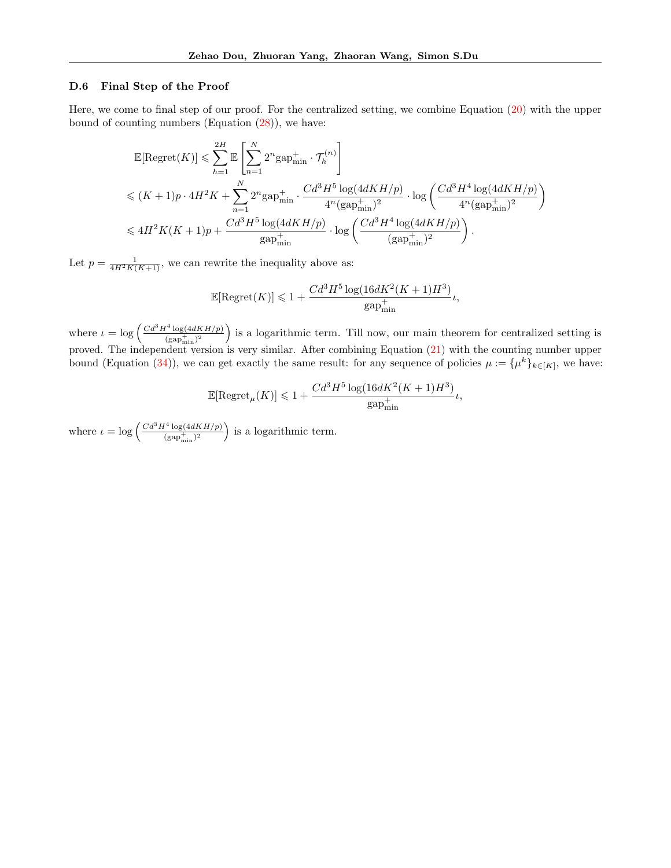#### D.6 Final Step of the Proof

Here, we come to final step of our proof. For the centralized setting, we combine Equation [\(20\)](#page-18-1) with the upper bound of counting numbers (Equation  $(28)$ ), we have:

$$
\mathbb{E}[\text{Regret}(K)] \leq \sum_{h=1}^{2H} \mathbb{E} \left[ \sum_{n=1}^{N} 2^n \text{gap}_{\text{min}}^+ \cdot \mathcal{T}_h^{(n)} \right]
$$
  

$$
\leq (K+1)p \cdot 4H^2K + \sum_{n=1}^{N} 2^n \text{gap}_{\text{min}}^+ \cdot \frac{Cd^3H^5 \log(4dKH/p)}{4^n(\text{gap}_{\text{min}}^+)^2} \cdot \log \left( \frac{Cd^3H^4 \log(4dKH/p)}{4^n(\text{gap}_{\text{min}}^+)^2} \right)
$$
  

$$
\leq 4H^2K(K+1)p + \frac{Cd^3H^5 \log(4dKH/p)}{\text{gap}_{\text{min}}^+} \cdot \log \left( \frac{Cd^3H^4 \log(4dKH/p)}{(\text{gap}_{\text{min}}^+)^2} \right).
$$

Let  $p = \frac{1}{4H^2K(K+1)}$ , we can rewrite the inequality above as:

$$
\mathbb{E}[\text{Regret}(K)] \leq 1 + \frac{Cd^3H^5\log(16dK^2(K+1)H^3)}{\text{gap}_{\text{min}}^+}\iota,
$$

where  $\iota = \log \left( \frac{Cd^3H^4 \log(4dKH/p)}{(gap_{\min}^+)^2} \right)$  is a logarithmic term. Till now, our main theorem for centralized setting is proved. The independent version is very similar. After combining Equation [\(21\)](#page-19-0) with the counting number upper bound (Equation [\(34\)](#page-21-3)), we can get exactly the same result: for any sequence of policies  $\mu := {\mu^k}_{k \in [K]}$ , we have:

$$
\mathbb{E}[\text{Regret}_{\mu}(K)] \leqslant 1+ \frac{Cd^3H^5\log(16dK^2(K+1)H^3)}{\text{gap}_{\text{min}}^+}\iota,
$$

where  $\iota = \log \left( \frac{Cd^3 H^4 \log(4dKH/p)}{(gap_{\min}^+)^2} \right)$  is a logarithmic term.